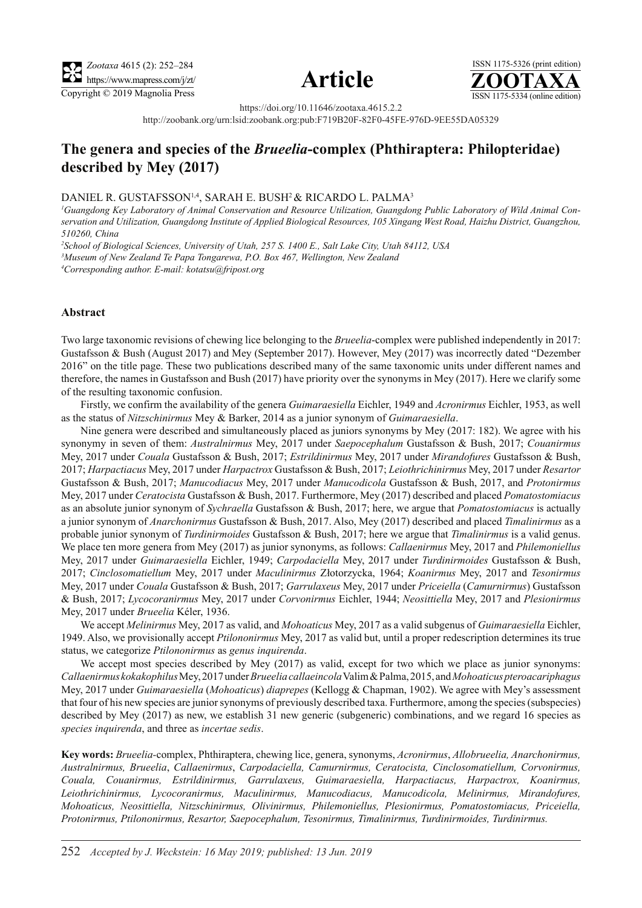





https://doi.org/10.11646/zootaxa.4615.2.2

http://zoobank.org/urn:lsid:zoobank.org:pub:F719B20F-82F0-45FE-976D-9EE55DA05329

# **The genera and species of the** *Brueelia***-complex (Phthiraptera: Philopteridae) described by Mey (2017)**

DANIEL R. GUSTAFSSON<sup>1,4</sup>, SARAH E. BUSH<sup>2</sup> & RICARDO L. PALMA<sup>3</sup>

*1 Guangdong Key Laboratory of Animal Conservation and Resource Utilization, Guangdong Public Laboratory of Wild Animal Conservation and Utilization, Guangdong Institute of Applied Biological Resources, 105 Xingang West Road, Haizhu District, Guangzhou, 510260, China*

*2 School of Biological Sciences, University of Utah, 257 S. 1400 E., Salt Lake City, Utah 84112, USA*

*3 Museum of New Zealand Te Papa Tongarewa, P.O. Box 467, Wellington, New Zealand*

*4 Corresponding author. E-mail: kotatsu@fripost.org*

#### **Abstract**

Two large taxonomic revisions of chewing lice belonging to the *Brueelia*-complex were published independently in 2017: Gustafsson & Bush (August 2017) and Mey (September 2017). However, Mey (2017) was incorrectly dated "Dezember 2016" on the title page. These two publications described many of the same taxonomic units under different names and therefore, the names in Gustafsson and Bush (2017) have priority over the synonyms in Mey (2017). Here we clarify some of the resulting taxonomic confusion.

Firstly, we confirm the availability of the genera *Guimaraesiella* Eichler, 1949 and *Acronirmus* Eichler, 1953, as well as the status of *Nitzschinirmus* Mey & Barker, 2014 as a junior synonym of *Guimaraesiella*.

Nine genera were described and simultaneously placed as juniors synonyms by Mey (2017: 182). We agree with his synonymy in seven of them: *Australnirmus* Mey, 2017 under *Saepocephalum* Gustafsson & Bush, 2017; *Couanirmus* Mey, 2017 under *Couala* Gustafsson & Bush, 2017; *Estrildinirmus* Mey, 2017 under *Mirandofures* Gustafsson & Bush, 2017; *Harpactiacus* Mey, 2017 under *Harpactrox* Gustafsson & Bush, 2017; *Leiothrichinirmus* Mey, 2017 under *Resartor*  Gustafsson & Bush, 2017; *Manucodiacus* Mey, 2017 under *Manucodicola* Gustafsson & Bush, 2017, and *Protonirmus* Mey, 2017 under *Ceratocista* Gustafsson & Bush, 2017. Furthermore, Mey (2017) described and placed *Pomatostomiacus* as an absolute junior synonym of *Sychraella* Gustafsson & Bush, 2017; here, we argue that *Pomatostomiacus* is actually a junior synonym of *Anarchonirmus* Gustafsson & Bush, 2017. Also, Mey (2017) described and placed *Timalinirmus* as a probable junior synonym of *Turdinirmoides* Gustafsson & Bush, 2017; here we argue that *Timalinirmus* is a valid genus. We place ten more genera from Mey (2017) as junior synonyms, as follows: *Callaenirmus* Mey, 2017 and *Philemoniellus* Mey, 2017 under *Guimaraesiella* Eichler, 1949; *Carpodaciella* Mey, 2017 under *Turdinirmoides* Gustafsson & Bush, 2017; *Cinclosomatiellum* Mey, 2017 under *Maculinirmus* Złotorzycka, 1964; *Koanirmus* Mey, 2017 and *Tesonirmus* Mey, 2017 under *Couala* Gustafsson & Bush, 2017; *Garrulaxeus* Mey, 2017 under *Priceiella* (*Camurnirmus*) Gustafsson & Bush, 2017; *Lycocoranirmus* Mey, 2017 under *Corvonirmus* Eichler, 1944; *Neosittiella* Mey, 2017 and *Plesionirmus* Mey, 2017 under *Brueelia* Kéler, 1936.

We accept *Melinirmus* Mey, 2017 as valid, and *Mohoaticus* Mey, 2017 as a valid subgenus of *Guimaraesiella* Eichler, 1949. Also, we provisionally accept *Ptilononirmus* Mey, 2017 as valid but, until a proper redescription determines its true status, we categorize *Ptilononirmus* as *genus inquirenda*.

We accept most species described by Mey (2017) as valid, except for two which we place as junior synonyms: *Callaenirmus kokakophilus* Mey, 2017 under *Brueelia callaeincola* Valim & Palma, 2015, and *Mohoaticus pteroacariphagus* Mey, 2017 under *Guimaraesiella* (*Mohoaticus*) *diaprepes* (Kellogg & Chapman, 1902). We agree with Mey's assessment that four of his new species are junior synonyms of previously described taxa. Furthermore, among the species (subspecies) described by Mey (2017) as new, we establish 31 new generic (subgeneric) combinations, and we regard 16 species as *species inquirenda*, and three as *incertae sedis*.

**Key words:** *Brueelia-*complex, Phthiraptera, chewing lice, genera, synonyms, *Acronirmus*, *Allobrueelia, Anarchonirmus, Australnirmus, Brueelia*, *Callaenirmus*, *Carpodaciella, Camurnirmus, Ceratocista, Cinclosomatiellum, Corvonirmus, Couala, Couanirmus, Estrildinirmus, Garrulaxeus, Guimaraesiella, Harpactiacus, Harpactrox, Koanirmus, Leiothrichinirmus, Lycocoranirmus, Maculinirmus, Manucodiacus, Manucodicola, Melinirmus, Mirandofures, Mohoaticus, Neosittiella, Nitzschinirmus, Olivinirmus, Philemoniellus, Plesionirmus, Pomatostomiacus, Priceiella, Protonirmus, Ptilononirmus, Resartor, Saepocephalum, Tesonirmus, Timalinirmus, Turdinirmoides, Turdinirmus.*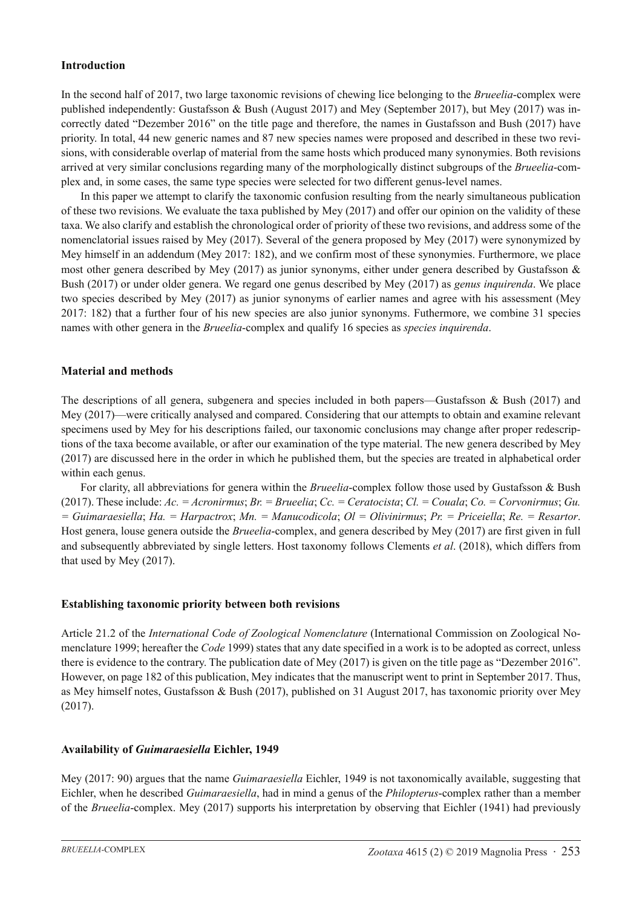### **Introduction**

In the second half of 2017, two large taxonomic revisions of chewing lice belonging to the *Brueelia*-complex were published independently: Gustafsson & Bush (August 2017) and Mey (September 2017), but Mey (2017) was incorrectly dated "Dezember 2016" on the title page and therefore, the names in Gustafsson and Bush (2017) have priority. In total, 44 new generic names and 87 new species names were proposed and described in these two revisions, with considerable overlap of material from the same hosts which produced many synonymies. Both revisions arrived at very similar conclusions regarding many of the morphologically distinct subgroups of the *Brueelia*-complex and, in some cases, the same type species were selected for two different genus-level names.

In this paper we attempt to clarify the taxonomic confusion resulting from the nearly simultaneous publication of these two revisions. We evaluate the taxa published by Mey (2017) and offer our opinion on the validity of these taxa. We also clarify and establish the chronological order of priority of these two revisions, and address some of the nomenclatorial issues raised by Mey (2017). Several of the genera proposed by Mey (2017) were synonymized by Mey himself in an addendum (Mey 2017: 182), and we confirm most of these synonymies. Furthermore, we place most other genera described by Mey (2017) as junior synonyms, either under genera described by Gustafsson & Bush (2017) or under older genera. We regard one genus described by Mey (2017) as *genus inquirenda*. We place two species described by Mey (2017) as junior synonyms of earlier names and agree with his assessment (Mey 2017: 182) that a further four of his new species are also junior synonyms. Futhermore, we combine 31 species names with other genera in the *Brueelia*-complex and qualify 16 species as *species inquirenda*.

### **Material and methods**

The descriptions of all genera, subgenera and species included in both papers—Gustafsson & Bush (2017) and Mey (2017)—were critically analysed and compared. Considering that our attempts to obtain and examine relevant specimens used by Mey for his descriptions failed, our taxonomic conclusions may change after proper redescriptions of the taxa become available, or after our examination of the type material. The new genera described by Mey (2017) are discussed here in the order in which he published them, but the species are treated in alphabetical order within each genus.

For clarity, all abbreviations for genera within the *Brueelia*-complex follow those used by Gustafsson & Bush (2017). These include: *Ac. = Acronirmus*; *Br. = Brueelia*; *Cc. = Ceratocista*; *Cl. = Couala*; *Co. = Corvonirmus*; *Gu. = Guimaraesiella*; *Ha. = Harpactrox*; *Mn. = Manucodicola*; *Ol = Olivinirmus*; *Pr. = Priceiella*; *Re. = Resartor*. Host genera, louse genera outside the *Brueelia*-complex, and genera described by Mey (2017) are first given in full and subsequently abbreviated by single letters. Host taxonomy follows Clements *et al*. (2018), which differs from that used by Mey (2017).

#### **Establishing taxonomic priority between both revisions**

Article 21.2 of the *International Code of Zoological Nomenclature* (International Commission on Zoological Nomenclature 1999; hereafter the *Code* 1999) states that any date specified in a work is to be adopted as correct, unless there is evidence to the contrary. The publication date of Mey (2017) is given on the title page as "Dezember 2016". However, on page 182 of this publication, Mey indicates that the manuscript went to print in September 2017. Thus, as Mey himself notes, Gustafsson & Bush (2017), published on 31 August 2017, has taxonomic priority over Mey (2017).

#### **Availability of** *Guimaraesiella* **Eichler, 1949**

Mey (2017: 90) argues that the name *Guimaraesiella* Eichler, 1949 is not taxonomically available, suggesting that Eichler, when he described *Guimaraesiella*, had in mind a genus of the *Philopterus*-complex rather than a member of the *Brueelia*-complex. Mey (2017) supports his interpretation by observing that Eichler (1941) had previously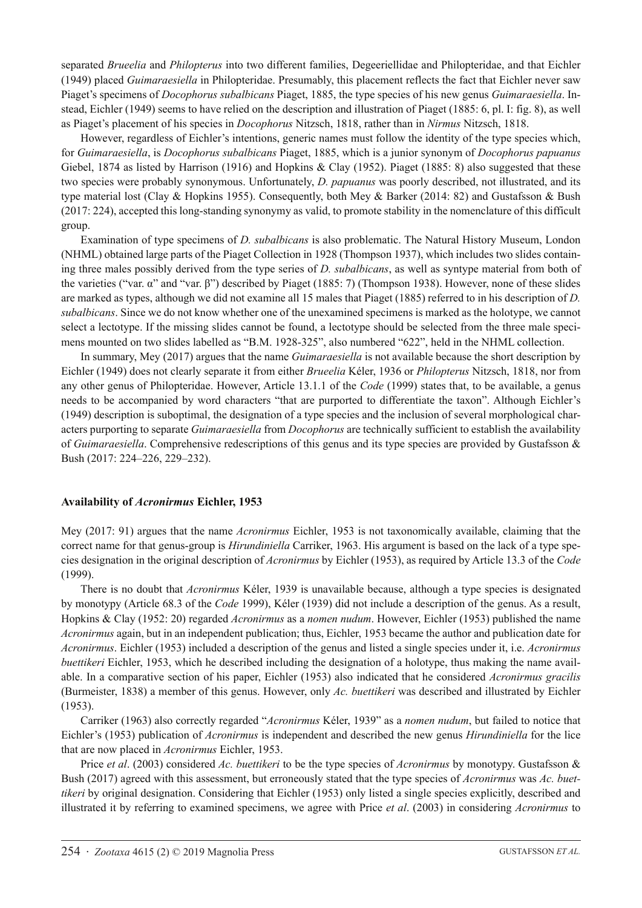separated *Brueelia* and *Philopterus* into two different families, Degeeriellidae and Philopteridae, and that Eichler (1949) placed *Guimaraesiella* in Philopteridae. Presumably, this placement reflects the fact that Eichler never saw Piaget's specimens of *Docophorus subalbicans* Piaget, 1885, the type species of his new genus *Guimaraesiella*. Instead, Eichler (1949) seems to have relied on the description and illustration of Piaget (1885: 6, pl. I: fig. 8), as well as Piaget's placement of his species in *Docophorus* Nitzsch, 1818, rather than in *Nirmus* Nitzsch, 1818.

However, regardless of Eichler's intentions, generic names must follow the identity of the type species which, for *Guimaraesiella*, is *Docophorus subalbicans* Piaget, 1885, which is a junior synonym of *Docophorus papuanus* Giebel, 1874 as listed by Harrison (1916) and Hopkins & Clay (1952). Piaget (1885: 8) also suggested that these two species were probably synonymous. Unfortunately, *D. papuanus* was poorly described, not illustrated, and its type material lost (Clay & Hopkins 1955). Consequently, both Mey & Barker (2014: 82) and Gustafsson & Bush (2017: 224), accepted this long-standing synonymy as valid, to promote stability in the nomenclature of this difficult group.

Examination of type specimens of *D. subalbicans* is also problematic. The Natural History Museum, London (NHML) obtained large parts of the Piaget Collection in 1928 (Thompson 1937), which includes two slides containing three males possibly derived from the type series of *D. subalbicans*, as well as syntype material from both of the varieties ("var. α" and "var. β") described by Piaget (1885: 7) (Thompson 1938). However, none of these slides are marked as types, although we did not examine all 15 males that Piaget (1885) referred to in his description of *D. subalbicans*. Since we do not know whether one of the unexamined specimens is marked as the holotype, we cannot select a lectotype. If the missing slides cannot be found, a lectotype should be selected from the three male specimens mounted on two slides labelled as "B.M. 1928-325", also numbered "622", held in the NHML collection.

In summary, Mey (2017) argues that the name *Guimaraesiella* is not available because the short description by Eichler (1949) does not clearly separate it from either *Brueelia* Kéler, 1936 or *Philopterus* Nitzsch, 1818, nor from any other genus of Philopteridae. However, Article 13.1.1 of the *Code* (1999) states that, to be available, a genus needs to be accompanied by word characters "that are purported to differentiate the taxon". Although Eichler's (1949) description is suboptimal, the designation of a type species and the inclusion of several morphological characters purporting to separate *Guimaraesiella* from *Docophorus* are technically sufficient to establish the availability of *Guimaraesiella*. Comprehensive redescriptions of this genus and its type species are provided by Gustafsson & Bush (2017: 224–226, 229–232).

#### **Availability of** *Acronirmus* **Eichler, 1953**

Mey (2017: 91) argues that the name *Acronirmus* Eichler, 1953 is not taxonomically available, claiming that the correct name for that genus-group is *Hirundiniella* Carriker, 1963. His argument is based on the lack of a type species designation in the original description of *Acronirmus* by Eichler (1953), as required by Article 13.3 of the *Code* (1999).

There is no doubt that *Acronirmus* Kéler, 1939 is unavailable because, although a type species is designated by monotypy (Article 68.3 of the *Code* 1999), Kéler (1939) did not include a description of the genus. As a result, Hopkins & Clay (1952: 20) regarded *Acronirmus* as a *nomen nudum*. However, Eichler (1953) published the name *Acronirmus* again, but in an independent publication; thus, Eichler, 1953 became the author and publication date for *Acronirmus*. Eichler (1953) included a description of the genus and listed a single species under it, i.e. *Acronirmus buettikeri* Eichler, 1953, which he described including the designation of a holotype, thus making the name available. In a comparative section of his paper, Eichler (1953) also indicated that he considered *Acronirmus gracilis* (Burmeister, 1838) a member of this genus. However, only *Ac. buettikeri* was described and illustrated by Eichler (1953).

Carriker (1963) also correctly regarded "*Acronirmus* Kéler, 1939" as a *nomen nudum*, but failed to notice that Eichler's (1953) publication of *Acronirmus* is independent and described the new genus *Hirundiniella* for the lice that are now placed in *Acronirmus* Eichler, 1953.

Price *et al*. (2003) considered *Ac. buettikeri* to be the type species of *Acronirmus* by monotypy. Gustafsson & Bush (2017) agreed with this assessment, but erroneously stated that the type species of *Acronirmus* was *Ac. buettikeri* by original designation. Considering that Eichler (1953) only listed a single species explicitly, described and illustrated it by referring to examined specimens, we agree with Price *et al*. (2003) in considering *Acronirmus* to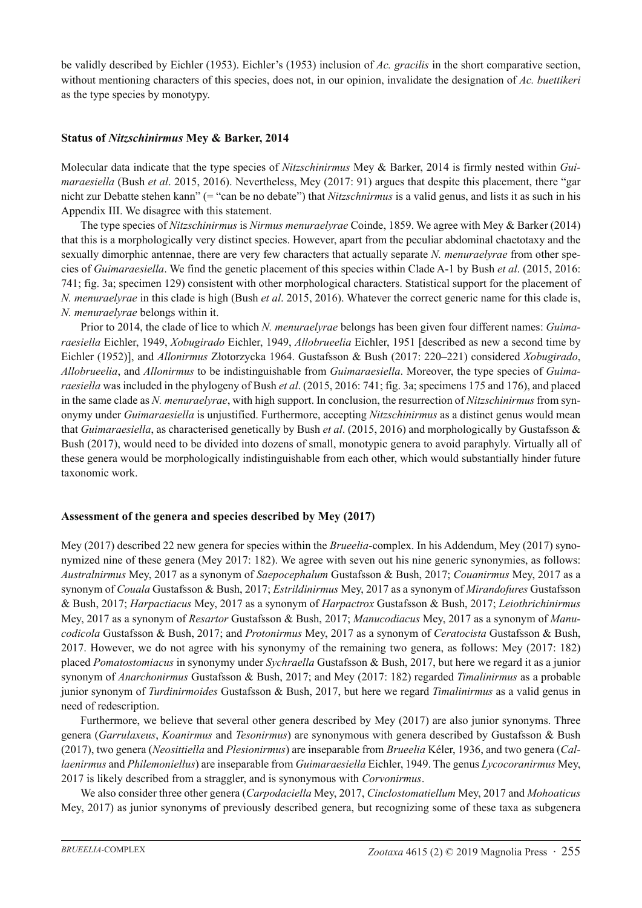be validly described by Eichler (1953). Eichler's (1953) inclusion of *Ac. gracilis* in the short comparative section, without mentioning characters of this species, does not, in our opinion, invalidate the designation of *Ac. buettikeri* as the type species by monotypy.

### **Status of** *Nitzschinirmus* **Mey & Barker, 2014**

Molecular data indicate that the type species of *Nitzschinirmus* Mey & Barker, 2014 is firmly nested within *Guimaraesiella* (Bush *et al*. 2015, 2016). Nevertheless, Mey (2017: 91) argues that despite this placement, there "gar nicht zur Debatte stehen kann" (= "can be no debate") that *Nitzschnirmus* is a valid genus, and lists it as such in his Appendix III. We disagree with this statement.

The type species of *Nitzschinirmus* is *Nirmus menuraelyrae* Coinde, 1859. We agree with Mey & Barker (2014) that this is a morphologically very distinct species. However, apart from the peculiar abdominal chaetotaxy and the sexually dimorphic antennae, there are very few characters that actually separate *N. menuraelyrae* from other species of *Guimaraesiella*. We find the genetic placement of this species within Clade A-1 by Bush *et al*. (2015, 2016: 741; fig. 3a; specimen 129) consistent with other morphological characters. Statistical support for the placement of *N. menuraelyrae* in this clade is high (Bush *et al*. 2015, 2016). Whatever the correct generic name for this clade is, *N. menuraelyrae* belongs within it.

Prior to 2014, the clade of lice to which *N. menuraelyrae* belongs has been given four different names: *Guimaraesiella* Eichler, 1949, *Xobugirado* Eichler, 1949, *Allobrueelia* Eichler, 1951 [described as new a second time by Eichler (1952)], and *Allonirmus* Złotorzycka 1964. Gustafsson & Bush (2017: 220–221) considered *Xobugirado*, *Allobrueelia*, and *Allonirmus* to be indistinguishable from *Guimaraesiella*. Moreover, the type species of *Guimaraesiella* was included in the phylogeny of Bush *et al*. (2015, 2016: 741; fig. 3a; specimens 175 and 176), and placed in the same clade as *N. menuraelyrae*, with high support. In conclusion, the resurrection of *Nitzschinirmus* from synonymy under *Guimaraesiella* is unjustified. Furthermore, accepting *Nitzschinirmus* as a distinct genus would mean that *Guimaraesiella*, as characterised genetically by Bush *et al*. (2015, 2016) and morphologically by Gustafsson & Bush (2017), would need to be divided into dozens of small, monotypic genera to avoid paraphyly. Virtually all of these genera would be morphologically indistinguishable from each other, which would substantially hinder future taxonomic work.

# **Assessment of the genera and species described by Mey (2017)**

Mey (2017) described 22 new genera for species within the *Brueelia*-complex. In his Addendum, Mey (2017) synonymized nine of these genera (Mey 2017: 182). We agree with seven out his nine generic synonymies, as follows: *Australnirmus* Mey, 2017 as a synonym of *Saepocephalum* Gustafsson & Bush, 2017; *Couanirmus* Mey, 2017 as a synonym of *Couala* Gustafsson & Bush, 2017; *Estrildinirmus* Mey, 2017 as a synonym of *Mirandofures* Gustafsson & Bush, 2017; *Harpactiacus* Mey, 2017 as a synonym of *Harpactrox* Gustafsson & Bush, 2017; *Leiothrichinirmus* Mey, 2017 as a synonym of *Resartor* Gustafsson & Bush, 2017; *Manucodiacus* Mey, 2017 as a synonym of *Manucodicola* Gustafsson & Bush, 2017; and *Protonirmus* Mey, 2017 as a synonym of *Ceratocista* Gustafsson & Bush, 2017. However, we do not agree with his synonymy of the remaining two genera, as follows: Mey (2017: 182) placed *Pomatostomiacus* in synonymy under *Sychraella* Gustafsson & Bush, 2017, but here we regard it as a junior synonym of *Anarchonirmus* Gustafsson & Bush, 2017; and Mey (2017: 182) regarded *Timalinirmus* as a probable junior synonym of *Turdinirmoides* Gustafsson & Bush, 2017, but here we regard *Timalinirmus* as a valid genus in need of redescription.

Furthermore, we believe that several other genera described by Mey (2017) are also junior synonyms. Three genera (*Garrulaxeus*, *Koanirmus* and *Tesonirmus*) are synonymous with genera described by Gustafsson & Bush (2017), two genera (*Neosittiella* and *Plesionirmus*) are inseparable from *Brueelia* Kéler, 1936, and two genera (*Callaenirmus* and *Philemoniellus*) are inseparable from *Guimaraesiella* Eichler, 1949. The genus *Lycocoranirmus* Mey, 2017 is likely described from a straggler, and is synonymous with *Corvonirmus*.

We also consider three other genera (*Carpodaciella* Mey, 2017, *Cinclostomatiellum* Mey, 2017 and *Mohoaticus*  Mey, 2017) as junior synonyms of previously described genera, but recognizing some of these taxa as subgenera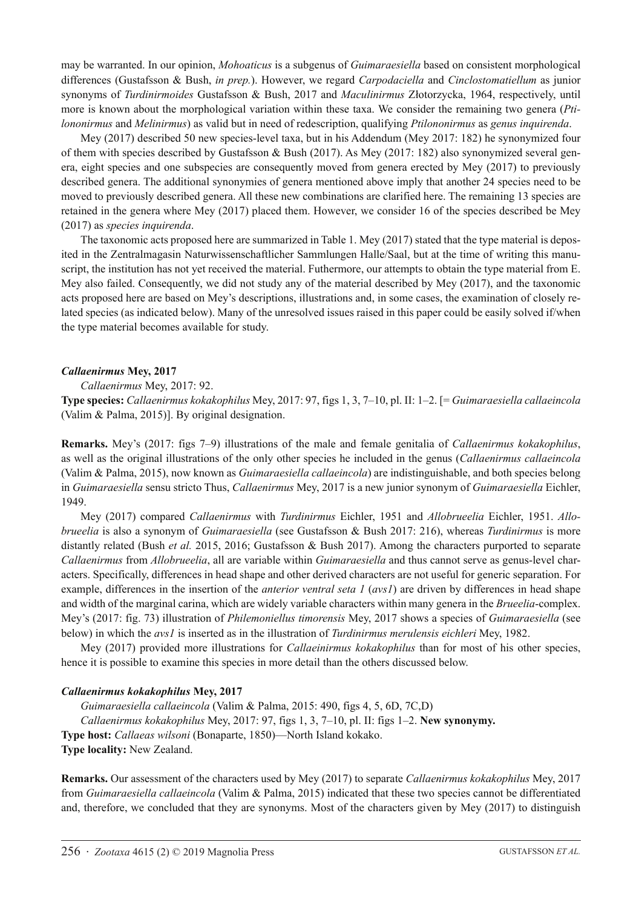may be warranted. In our opinion, *Mohoaticus* is a subgenus of *Guimaraesiella* based on consistent morphological differences (Gustafsson & Bush, *in prep.*). However, we regard *Carpodaciella* and *Cinclostomatiellum* as junior synonyms of *Turdinirmoides* Gustafsson & Bush, 2017 and *Maculinirmus* Złotorzycka, 1964, respectively, until more is known about the morphological variation within these taxa. We consider the remaining two genera (*Ptilononirmus* and *Melinirmus*) as valid but in need of redescription, qualifying *Ptilononirmus* as *genus inquirenda*.

Mey (2017) described 50 new species-level taxa, but in his Addendum (Mey 2017: 182) he synonymized four of them with species described by Gustafsson & Bush (2017). As Mey (2017: 182) also synonymized several genera, eight species and one subspecies are consequently moved from genera erected by Mey (2017) to previously described genera. The additional synonymies of genera mentioned above imply that another 24 species need to be moved to previously described genera. All these new combinations are clarified here. The remaining 13 species are retained in the genera where Mey (2017) placed them. However, we consider 16 of the species described be Mey (2017) as *species inquirenda*.

The taxonomic acts proposed here are summarized in Table 1. Mey (2017) stated that the type material is deposited in the Zentralmagasin Naturwissenschaftlicher Sammlungen Halle/Saal, but at the time of writing this manuscript, the institution has not vet received the material. Futhermore, our attempts to obtain the type material from E. Mey also failed. Consequently, we did not study any of the material described by Mey (2017), and the taxonomic acts proposed here are based on Mey's descriptions, illustrations and, in some cases, the examination of closely related species (as indicated below). Many of the unresolved issues raised in this paper could be easily solved if/when the type material becomes available for study.

#### *Callaenirmus* **Mey, 2017**

*Callaenirmus* Mey, 2017: 92.

**Type species:** *Callaenirmus kokakophilus* Mey, 2017: 97, figs 1, 3, 7–10, pl. II: 1–2. [= *Guimaraesiella callaeincola* (Valim & Palma, 2015)]. By original designation.

**Remarks.** Mey's (2017: figs 7–9) illustrations of the male and female genitalia of *Callaenirmus kokakophilus*, as well as the original illustrations of the only other species he included in the genus (*Callaenirmus callaeincola* (Valim & Palma, 2015), now known as *Guimaraesiella callaeincola*) are indistinguishable, and both species belong in *Guimaraesiella* sensu stricto Thus, *Callaenirmus* Mey, 2017 is a new junior synonym of *Guimaraesiella* Eichler, 1949.

Mey (2017) compared *Callaenirmus* with *Turdinirmus* Eichler, 1951 and *Allobrueelia* Eichler, 1951. *Allobrueelia* is also a synonym of *Guimaraesiella* (see Gustafsson & Bush 2017: 216), whereas *Turdinirmus* is more distantly related (Bush *et al.* 2015, 2016; Gustafsson & Bush 2017). Among the characters purported to separate *Callaenirmus* from *Allobrueelia*, all are variable within *Guimaraesiella* and thus cannot serve as genus-level characters. Specifically, differences in head shape and other derived characters are not useful for generic separation. For example, differences in the insertion of the *anterior ventral seta 1* (*avs1*) are driven by differences in head shape and width of the marginal carina, which are widely variable characters within many genera in the *Brueelia*-complex. Mey's (2017: fig. 73) illustration of *Philemoniellus timorensis* Mey, 2017 shows a species of *Guimaraesiella* (see below) in which the *avs1* is inserted as in the illustration of *Turdinirmus merulensis eichleri* Mey, 1982.

Mey (2017) provided more illustrations for *Callaeinirmus kokakophilus* than for most of his other species, hence it is possible to examine this species in more detail than the others discussed below.

#### *Callaenirmus kokakophilus* **Mey, 2017**

*Guimaraesiella callaeincola* (Valim & Palma, 2015: 490, figs 4, 5, 6D, 7C,D) *Callaenirmus kokakophilus* Mey, 2017: 97, figs 1, 3, 7–10, pl. II: figs 1–2. **New synonymy. Type host:** *Callaeas wilsoni* (Bonaparte, 1850)—North Island kokako. **Type locality:** New Zealand.

**Remarks.** Our assessment of the characters used by Mey (2017) to separate *Callaenirmus kokakophilus* Mey, 2017 from *Guimaraesiella callaeincola* (Valim & Palma, 2015) indicated that these two species cannot be differentiated and, therefore, we concluded that they are synonyms. Most of the characters given by Mey (2017) to distinguish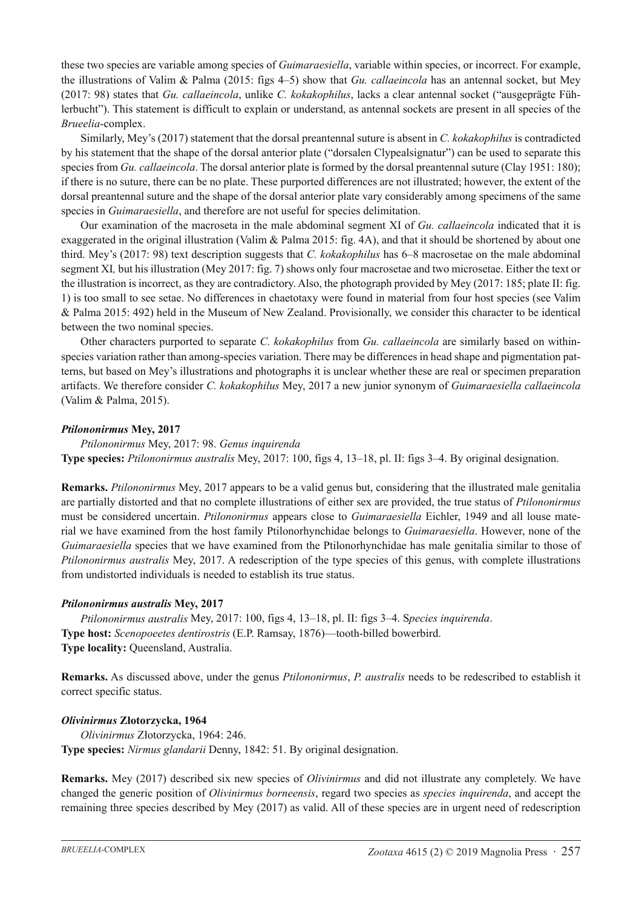these two species are variable among species of *Guimaraesiella*, variable within species, or incorrect. For example, the illustrations of Valim & Palma (2015: figs 4–5) show that *Gu. callaeincola* has an antennal socket, but Mey (2017: 98) states that *Gu. callaeincola*, unlike *C. kokakophilus*, lacks a clear antennal socket ("ausgeprägte Fühlerbucht"). This statement is difficult to explain or understand, as antennal sockets are present in all species of the *Brueelia*-complex.

Similarly, Mey's (2017) statement that the dorsal preantennal suture is absent in *C. kokakophilus* is contradicted by his statement that the shape of the dorsal anterior plate ("dorsalen Clypealsignatur") can be used to separate this species from *Gu. callaeincola*. The dorsal anterior plate is formed by the dorsal preantennal suture (Clay 1951: 180); if there is no suture, there can be no plate. These purported differences are not illustrated; however, the extent of the dorsal preantennal suture and the shape of the dorsal anterior plate vary considerably among specimens of the same species in *Guimaraesiella*, and therefore are not useful for species delimitation.

Our examination of the macroseta in the male abdominal segment XI of *Gu. callaeincola* indicated that it is exaggerated in the original illustration (Valim & Palma 2015: fig. 4A), and that it should be shortened by about one third. Mey's (2017: 98) text description suggests that *C. kokakophilus* has 6–8 macrosetae on the male abdominal segment XI*,* but his illustration (Mey 2017: fig. 7) shows only four macrosetae and two microsetae. Either the text or the illustration is incorrect, as they are contradictory. Also, the photograph provided by Mey (2017: 185; plate II: fig. 1) is too small to see setae. No differences in chaetotaxy were found in material from four host species (see Valim & Palma 2015: 492) held in the Museum of New Zealand. Provisionally, we consider this character to be identical between the two nominal species.

Other characters purported to separate *C. kokakophilus* from *Gu. callaeincola* are similarly based on withinspecies variation rather than among-species variation. There may be differences in head shape and pigmentation patterns, but based on Mey's illustrations and photographs it is unclear whether these are real or specimen preparation artifacts. We therefore consider *C. kokakophilus* Mey, 2017 a new junior synonym of *Guimaraesiella callaeincola* (Valim & Palma, 2015).

#### *Ptilononirmus* **Mey, 2017**

*Ptilononirmus* Mey, 2017: 98. *Genus inquirenda* **Type species:** *Ptilononirmus australis* Mey, 2017: 100, figs 4, 13–18, pl. II: figs 3–4. By original designation.

**Remarks.** *Ptilononirmus* Mey, 2017 appears to be a valid genus but, considering that the illustrated male genitalia are partially distorted and that no complete illustrations of either sex are provided, the true status of *Ptilononirmus* must be considered uncertain. *Ptilononirmus* appears close to *Guimaraesiella* Eichler, 1949 and all louse material we have examined from the host family Ptilonorhynchidae belongs to *Guimaraesiella*. However, none of the *Guimaraesiella* species that we have examined from the Ptilonorhynchidae has male genitalia similar to those of *Ptilononirmus australis* Mey, 2017. A redescription of the type species of this genus, with complete illustrations from undistorted individuals is needed to establish its true status.

#### *Ptilononirmus australis* **Mey, 2017**

*Ptilononirmus australis* Mey, 2017: 100, figs 4, 13–18, pl. II: figs 3–4. S*pecies inquirenda*. **Type host:** *Scenopoeetes dentirostris* (E.P. Ramsay, 1876)—tooth-billed bowerbird. **Type locality:** Queensland, Australia.

**Remarks.** As discussed above, under the genus *Ptilononirmus*, *P. australis* needs to be redescribed to establish it correct specific status.

# *Olivinirmus* **Złotorzycka, 1964**

*Olivinirmus* Złotorzycka, 1964: 246. **Type species:** *Nirmus glandarii* Denny, 1842: 51. By original designation.

**Remarks.** Mey (2017) described six new species of *Olivinirmus* and did not illustrate any completely. We have changed the generic position of *Olivinirmus borneensis*, regard two species as *species inquirenda*, and accept the remaining three species described by Mey (2017) as valid. All of these species are in urgent need of redescription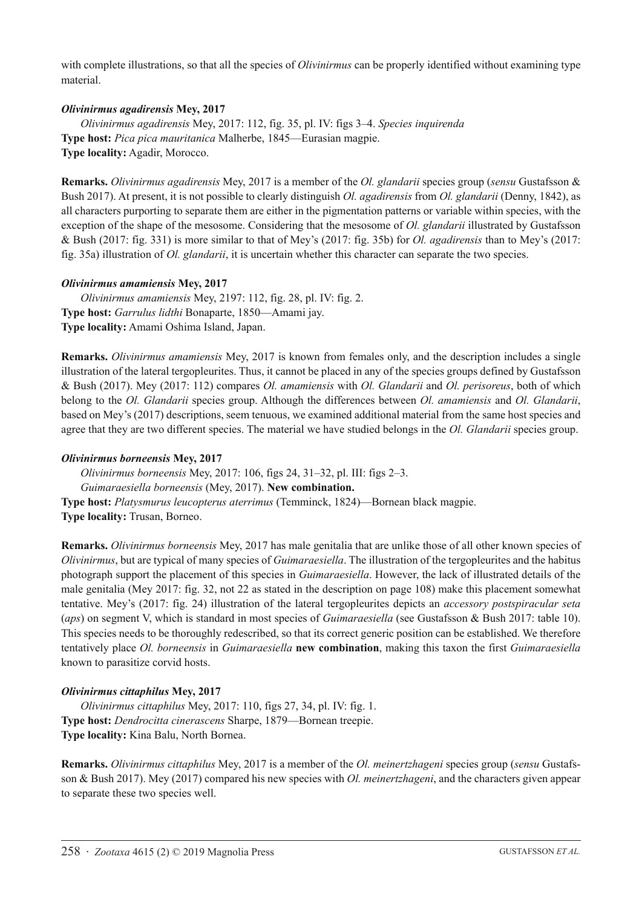with complete illustrations, so that all the species of *Olivinirmus* can be properly identified without examining type material.

### *Olivinirmus agadirensis* **Mey, 2017**

*Olivinirmus agadirensis* Mey, 2017: 112, fig. 35, pl. IV: figs 3–4. *Species inquirenda* **Type host:** *Pica pica mauritanica* Malherbe, 1845—Eurasian magpie. **Type locality:** Agadir, Morocco.

**Remarks.** *Olivinirmus agadirensis* Mey, 2017 is a member of the *Ol. glandarii* species group (*sensu* Gustafsson & Bush 2017). At present, it is not possible to clearly distinguish *Ol. agadirensis* from *Ol. glandarii* (Denny, 1842), as all characters purporting to separate them are either in the pigmentation patterns or variable within species, with the exception of the shape of the mesosome. Considering that the mesosome of *Ol. glandarii* illustrated by Gustafsson & Bush (2017: fig. 331) is more similar to that of Mey's (2017: fig. 35b) for *Ol. agadirensis* than to Mey's (2017: fig. 35a) illustration of *Ol. glandarii*, it is uncertain whether this character can separate the two species.

### *Olivinirmus amamiensis* **Mey, 2017**

*Olivinirmus amamiensis* Mey, 2197: 112, fig. 28, pl. IV: fig. 2. **Type host:** *Garrulus lidthi* Bonaparte, 1850—Amami jay. **Type locality:** Amami Oshima Island, Japan.

**Remarks.** *Olivinirmus amamiensis* Mey, 2017 is known from females only, and the description includes a single illustration of the lateral tergopleurites. Thus, it cannot be placed in any of the species groups defined by Gustafsson & Bush (2017). Mey (2017: 112) compares *Ol. amamiensis* with *Ol. Glandarii* and *Ol. perisoreus*, both of which belong to the *Ol. Glandarii* species group. Although the differences between *Ol. amamiensis* and *Ol. Glandarii*, based on Mey's (2017) descriptions, seem tenuous, we examined additional material from the same host species and agree that they are two different species. The material we have studied belongs in the *Ol. Glandarii* species group.

### *Olivinirmus borneensis* **Mey, 2017**

*Olivinirmus borneensis* Mey, 2017: 106, figs 24, 31–32, pl. III: figs 2–3. *Guimaraesiella borneensis* (Mey, 2017). **New combination. Type host:** *Platysmurus leucopterus aterrimus* (Temminck, 1824)—Bornean black magpie. **Type locality:** Trusan, Borneo.

**Remarks.** *Olivinirmus borneensis* Mey, 2017 has male genitalia that are unlike those of all other known species of *Olivinirmus*, but are typical of many species of *Guimaraesiella*. The illustration of the tergopleurites and the habitus photograph support the placement of this species in *Guimaraesiella*. However, the lack of illustrated details of the male genitalia (Mey 2017: fig. 32, not 22 as stated in the description on page 108) make this placement somewhat tentative. Mey's (2017: fig. 24) illustration of the lateral tergopleurites depicts an *accessory postspiracular seta* (*aps*) on segment V, which is standard in most species of *Guimaraesiella* (see Gustafsson & Bush 2017: table 10). This species needs to be thoroughly redescribed, so that its correct generic position can be established. We therefore tentatively place *Ol. borneensis* in *Guimaraesiella* **new combination**, making this taxon the first *Guimaraesiella* known to parasitize corvid hosts.

# *Olivinirmus cittaphilus* **Mey, 2017**

*Olivinirmus cittaphilus* Mey, 2017: 110, figs 27, 34, pl. IV: fig. 1. **Type host:** *Dendrocitta cinerascens* Sharpe, 1879—Bornean treepie. **Type locality:** Kina Balu, North Bornea.

**Remarks.** *Olivinirmus cittaphilus* Mey, 2017 is a member of the *Ol. meinertzhageni* species group (*sensu* Gustafsson & Bush 2017). Mey (2017) compared his new species with *Ol. meinertzhageni*, and the characters given appear to separate these two species well.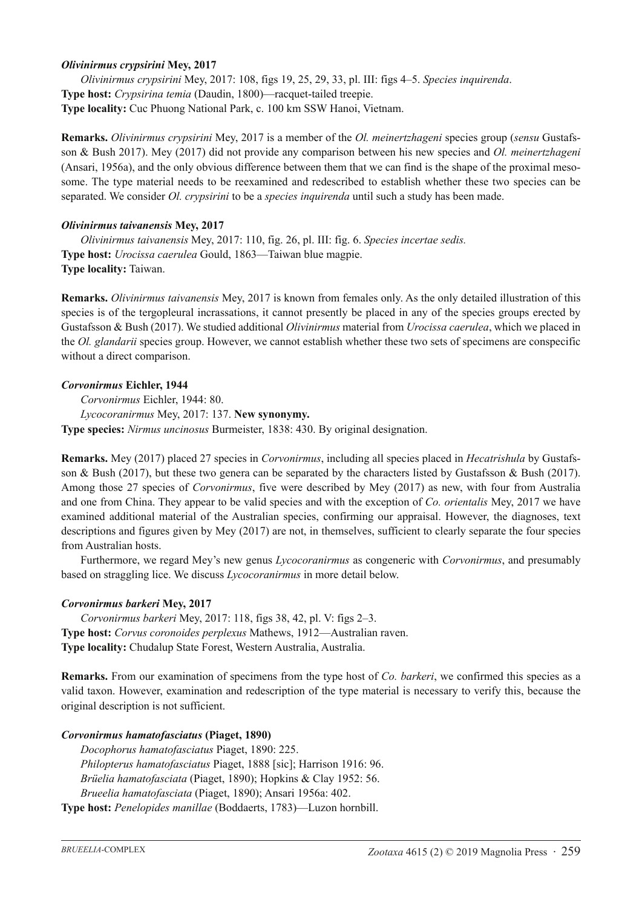### *Olivinirmus crypsirini* **Mey, 2017**

*Olivinirmus crypsirini* Mey, 2017: 108, figs 19, 25, 29, 33, pl. III: figs 4–5. *Species inquirenda*. **Type host:** *Crypsirina temia* (Daudin, 1800)—racquet-tailed treepie. **Type locality:** Cuc Phuong National Park, c. 100 km SSW Hanoi, Vietnam.

**Remarks.** *Olivinirmus crypsirini* Mey, 2017 is a member of the *Ol. meinertzhageni* species group (*sensu* Gustafsson & Bush 2017). Mey (2017) did not provide any comparison between his new species and *Ol. meinertzhageni* (Ansari, 1956a), and the only obvious difference between them that we can find is the shape of the proximal mesosome. The type material needs to be reexamined and redescribed to establish whether these two species can be separated. We consider *Ol. crypsirini* to be a *species inquirenda* until such a study has been made.

### *Olivinirmus taivanensis* **Mey, 2017**

*Olivinirmus taivanensis* Mey, 2017: 110, fig. 26, pl. III: fig. 6. *Species incertae sedis.* **Type host:** *Urocissa caerulea* Gould, 1863—Taiwan blue magpie. **Type locality:** Taiwan.

**Remarks.** *Olivinirmus taivanensis* Mey, 2017 is known from females only. As the only detailed illustration of this species is of the tergopleural incrassations, it cannot presently be placed in any of the species groups erected by Gustafsson & Bush (2017). We studied additional *Olivinirmus* material from *Urocissa caerulea*, which we placed in the *Ol. glandarii* species group. However, we cannot establish whether these two sets of specimens are conspecific without a direct comparison.

### *Corvonirmus* **Eichler, 1944**

*Corvonirmus* Eichler, 1944: 80. *Lycocoranirmus* Mey, 2017: 137. **New synonymy. Type species:** *Nirmus uncinosus* Burmeister, 1838: 430. By original designation.

**Remarks.** Mey (2017) placed 27 species in *Corvonirmus*, including all species placed in *Hecatrishula* by Gustafsson & Bush (2017), but these two genera can be separated by the characters listed by Gustafsson & Bush (2017). Among those 27 species of *Corvonirmus*, five were described by Mey (2017) as new, with four from Australia and one from China. They appear to be valid species and with the exception of *Co. orientalis* Mey, 2017 we have examined additional material of the Australian species, confirming our appraisal. However, the diagnoses, text descriptions and figures given by Mey (2017) are not, in themselves, sufficient to clearly separate the four species from Australian hosts.

Furthermore, we regard Mey's new genus *Lycocoranirmus* as congeneric with *Corvonirmus*, and presumably based on straggling lice. We discuss *Lycocoranirmus* in more detail below.

# *Corvonirmus barkeri* **Mey, 2017**

*Corvonirmus barkeri* Mey, 2017: 118, figs 38, 42, pl. V: figs 2–3. **Type host:** *Corvus coronoides perplexus* Mathews, 1912—Australian raven. **Type locality:** Chudalup State Forest, Western Australia, Australia.

**Remarks.** From our examination of specimens from the type host of *Co. barkeri*, we confirmed this species as a valid taxon. However, examination and redescription of the type material is necessary to verify this, because the original description is not sufficient.

#### *Corvonirmus hamatofasciatus* **(Piaget, 1890)**

*Docophorus hamatofasciatus* Piaget, 1890: 225. *Philopterus hamatofasciatus* Piaget, 1888 [sic]; Harrison 1916: 96. *Brüelia hamatofasciata* (Piaget, 1890); Hopkins & Clay 1952: 56. *Brueelia hamatofasciata* (Piaget, 1890); Ansari 1956a: 402.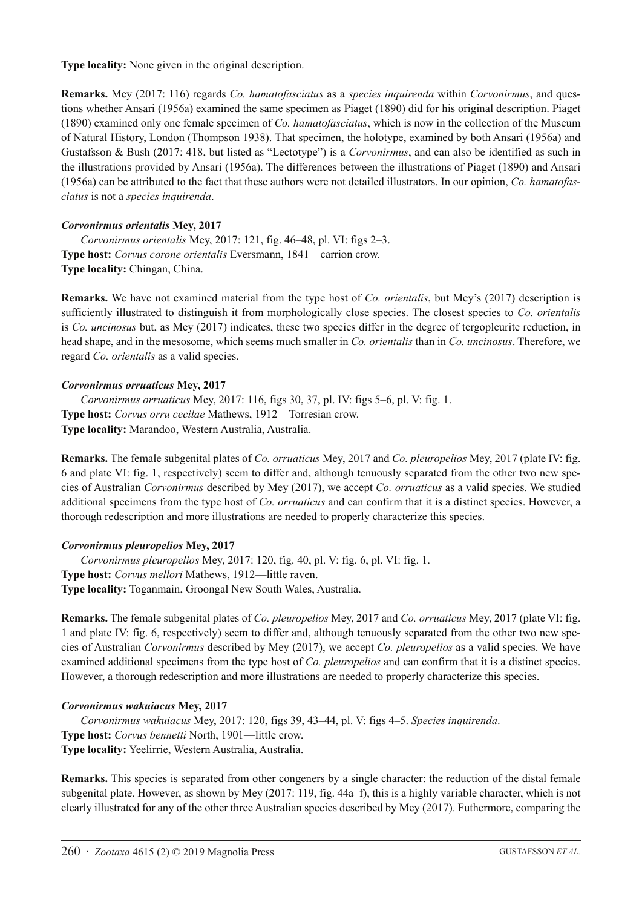**Type locality:** None given in the original description.

**Remarks.** Mey (2017: 116) regards *Co. hamatofasciatus* as a *species inquirenda* within *Corvonirmus*, and questions whether Ansari (1956a) examined the same specimen as Piaget (1890) did for his original description. Piaget (1890) examined only one female specimen of *Co. hamatofasciatus*, which is now in the collection of the Museum of Natural History, London (Thompson 1938). That specimen, the holotype, examined by both Ansari (1956a) and Gustafsson & Bush (2017: 418, but listed as "Lectotype") is a *Corvonirmus*, and can also be identified as such in the illustrations provided by Ansari (1956a). The differences between the illustrations of Piaget (1890) and Ansari (1956a) can be attributed to the fact that these authors were not detailed illustrators. In our opinion, *Co. hamatofasciatus* is not a *species inquirenda*.

### *Corvonirmus orientalis* **Mey, 2017**

*Corvonirmus orientalis* Mey, 2017: 121, fig. 46–48, pl. VI: figs 2–3. **Type host:** *Corvus corone orientalis* Eversmann, 1841—carrion crow. **Type locality:** Chingan, China.

**Remarks.** We have not examined material from the type host of *Co. orientalis*, but Mey's (2017) description is sufficiently illustrated to distinguish it from morphologically close species. The closest species to *Co. orientalis* is *Co. uncinosus* but, as Mey (2017) indicates, these two species differ in the degree of tergopleurite reduction, in head shape, and in the mesosome, which seems much smaller in *Co. orientalis* than in *Co. uncinosus*. Therefore, we regard *Co. orientalis* as a valid species.

#### *Corvonirmus orruaticus* **Mey, 2017**

*Corvonirmus orruaticus* Mey, 2017: 116, figs 30, 37, pl. IV: figs 5–6, pl. V: fig. 1. **Type host:** *Corvus orru cecilae* Mathews, 1912—Torresian crow. **Type locality:** Marandoo, Western Australia, Australia.

**Remarks.** The female subgenital plates of *Co. orruaticus* Mey, 2017 and *Co. pleuropelios* Mey, 2017 (plate IV: fig. 6 and plate VI: fig. 1, respectively) seem to differ and, although tenuously separated from the other two new species of Australian *Corvonirmus* described by Mey (2017), we accept *Co. orruaticus* as a valid species. We studied additional specimens from the type host of *Co. orruaticus* and can confirm that it is a distinct species. However, a thorough redescription and more illustrations are needed to properly characterize this species.

#### *Corvonirmus pleuropelios* **Mey, 2017**

*Corvonirmus pleuropelios* Mey, 2017: 120, fig. 40, pl. V: fig. 6, pl. VI: fig. 1. **Type host:** *Corvus mellori* Mathews, 1912—little raven. **Type locality:** Toganmain, Groongal New South Wales, Australia.

**Remarks.** The female subgenital plates of *Co. pleuropelios* Mey, 2017 and *Co. orruaticus* Mey, 2017 (plate VI: fig. 1 and plate IV: fig. 6, respectively) seem to differ and, although tenuously separated from the other two new species of Australian *Corvonirmus* described by Mey (2017), we accept *Co. pleuropelios* as a valid species. We have examined additional specimens from the type host of *Co. pleuropelios* and can confirm that it is a distinct species. However, a thorough redescription and more illustrations are needed to properly characterize this species.

#### *Corvonirmus wakuiacus* **Mey, 2017**

*Corvonirmus wakuiacus* Mey, 2017: 120, figs 39, 43–44, pl. V: figs 4–5. *Species inquirenda*. **Type host:** *Corvus bennetti* North, 1901—little crow. **Type locality:** Yeelirrie, Western Australia, Australia.

**Remarks.** This species is separated from other congeners by a single character: the reduction of the distal female subgenital plate. However, as shown by Mey (2017: 119, fig. 44a–f), this is a highly variable character, which is not clearly illustrated for any of the other three Australian species described by Mey (2017). Futhermore, comparing the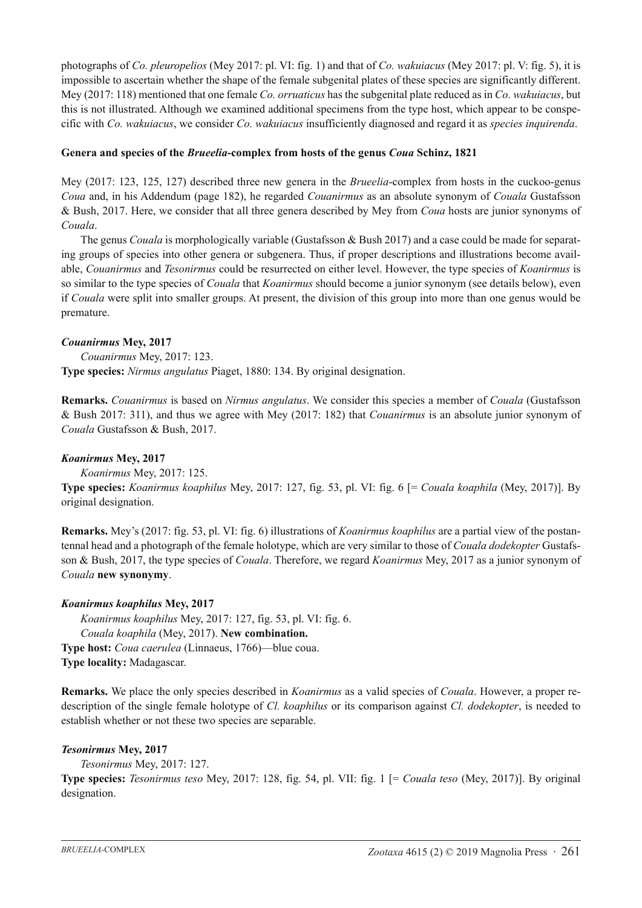photographs of *Co. pleuropelios* (Mey 2017: pl. VI: fig. 1) and that of *Co. wakuiacus* (Mey 2017: pl. V: fig. 5), it is impossible to ascertain whether the shape of the female subgenital plates of these species are significantly different. Mey (2017: 118) mentioned that one female *Co. orruaticus* has the subgenital plate reduced as in *Co. wakuiacus*, but this is not illustrated. Although we examined additional specimens from the type host, which appear to be conspecific with *Co. wakuiacus*, we consider *Co. wakuiacus* insufficiently diagnosed and regard it as *species inquirenda*.

### **Genera and species of the** *Brueelia***-complex from hosts of the genus** *Coua* **Schinz, 1821**

Mey (2017: 123, 125, 127) described three new genera in the *Brueelia*-complex from hosts in the cuckoo-genus *Coua* and, in his Addendum (page 182), he regarded *Couanirmus* as an absolute synonym of *Couala* Gustafsson & Bush, 2017. Here, we consider that all three genera described by Mey from *Coua* hosts are junior synonyms of *Couala*.

The genus *Couala* is morphologically variable (Gustafsson & Bush 2017) and a case could be made for separating groups of species into other genera or subgenera. Thus, if proper descriptions and illustrations become available, *Couanirmus* and *Tesonirmus* could be resurrected on either level. However, the type species of *Koanirmus* is so similar to the type species of *Couala* that *Koanirmus* should become a junior synonym (see details below), even if *Couala* were split into smaller groups. At present, the division of this group into more than one genus would be premature.

### *Couanirmus* **Mey, 2017**

*Couanirmus* Mey, 2017: 123. **Type species:** *Nirmus angulatus* Piaget, 1880: 134. By original designation.

**Remarks.** *Couanirmus* is based on *Nirmus angulatus*. We consider this species a member of *Couala* (Gustafsson & Bush 2017: 311), and thus we agree with Mey (2017: 182) that *Couanirmus* is an absolute junior synonym of *Couala* Gustafsson & Bush, 2017.

### *Koanirmus* **Mey, 2017**

# *Koanirmus* Mey, 2017: 125.

**Type species:** *Koanirmus koaphilus* Mey, 2017: 127, fig. 53, pl. VI: fig. 6 [= *Couala koaphila* (Mey, 2017)]. By original designation.

**Remarks.** Mey's (2017: fig. 53, pl. VI: fig. 6) illustrations of *Koanirmus koaphilus* are a partial view of the postantennal head and a photograph of the female holotype, which are very similar to those of *Couala dodekopter* Gustafsson & Bush, 2017, the type species of *Couala*. Therefore, we regard *Koanirmus* Mey, 2017 as a junior synonym of *Couala* **new synonymy**.

# *Koanirmus koaphilus* **Mey, 2017**

*Koanirmus koaphilus* Mey, 2017: 127, fig. 53, pl. VI: fig. 6. *Couala koaphila* (Mey, 2017). **New combination. Type host:** *Coua caerulea* (Linnaeus, 1766)—blue coua. **Type locality:** Madagascar.

**Remarks.** We place the only species described in *Koanirmus* as a valid species of *Couala*. However, a proper redescription of the single female holotype of *Cl. koaphilus* or its comparison against *Cl. dodekopter*, is needed to establish whether or not these two species are separable.

#### *Tesonirmus* **Mey, 2017**

*Tesonirmus* Mey, 2017: 127.

**Type species:** *Tesonirmus teso* Mey, 2017: 128, fig. 54, pl. VII: fig. 1 [= *Couala teso* (Mey, 2017)]. By original designation.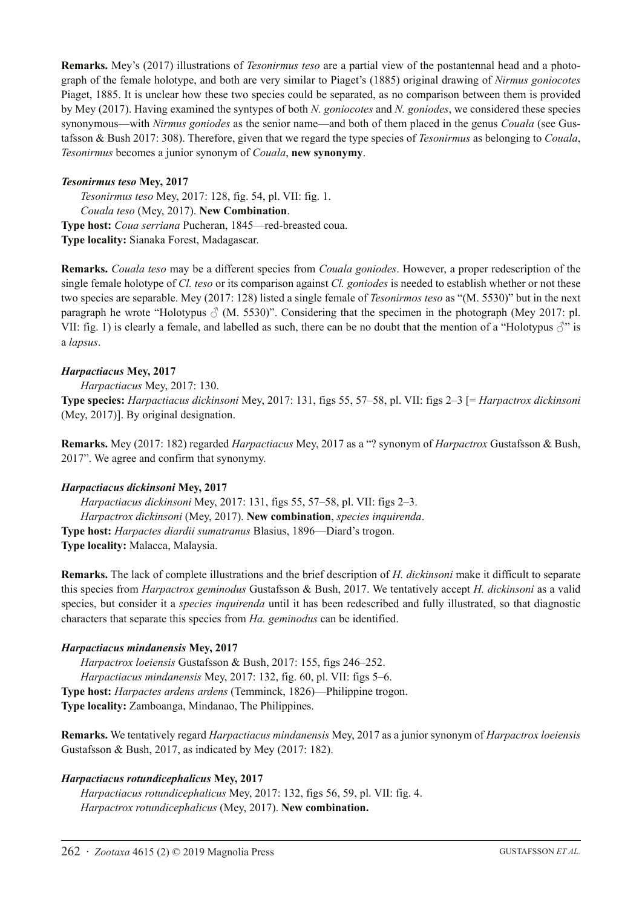**Remarks.** Mey's (2017) illustrations of *Tesonirmus teso* are a partial view of the postantennal head and a photograph of the female holotype, and both are very similar to Piaget's (1885) original drawing of *Nirmus goniocotes* Piaget, 1885. It is unclear how these two species could be separated, as no comparison between them is provided by Mey (2017). Having examined the syntypes of both *N. goniocotes* and *N. goniodes*, we considered these species synonymous—with *Nirmus goniodes* as the senior name—and both of them placed in the genus *Couala* (see Gustafsson & Bush 2017: 308). Therefore, given that we regard the type species of *Tesonirmus* as belonging to *Couala*, *Tesonirmus* becomes a junior synonym of *Couala*, **new synonymy**.

### *Tesonirmus teso* **Mey, 2017**

*Tesonirmus teso* Mey, 2017: 128, fig. 54, pl. VII: fig. 1. *Couala teso* (Mey, 2017). **New Combination**. **Type host:** *Coua serriana* Pucheran, 1845—red-breasted coua. **Type locality:** Sianaka Forest, Madagascar.

**Remarks.** *Couala teso* may be a different species from *Couala goniodes*. However, a proper redescription of the single female holotype of *Cl. teso* or its comparison against *Cl. goniodes* is needed to establish whether or not these two species are separable. Mey (2017: 128) listed a single female of *Tesonirmos teso* as "(M. 5530)" but in the next paragraph he wrote "Holotypus  $\delta$  (M. 5530)". Considering that the specimen in the photograph (Mey 2017: pl. VII: fig. 1) is clearly a female, and labelled as such, there can be no doubt that the mention of a "Holotypus  $\beta$ " is a *lapsus*.

### *Harpactiacus* **Mey, 2017**

*Harpactiacus* Mey, 2017: 130. **Type species:** *Harpactiacus dickinsoni* Mey, 2017: 131, figs 55, 57–58, pl. VII: figs 2–3 [= *Harpactrox dickinsoni* (Mey, 2017)]. By original designation.

**Remarks.** Mey (2017: 182) regarded *Harpactiacus* Mey, 2017 as a "? synonym of *Harpactrox* Gustafsson & Bush, 2017". We agree and confirm that synonymy.

# *Harpactiacus dickinsoni* **Mey, 2017**

*Harpactiacus dickinsoni* Mey, 2017: 131, figs 55, 57–58, pl. VII: figs 2–3. *Harpactrox dickinsoni* (Mey, 2017). **New combination**, *species inquirenda*. **Type host:** *Harpactes diardii sumatranus* Blasius, 1896—Diard's trogon. **Type locality:** Malacca, Malaysia.

**Remarks.** The lack of complete illustrations and the brief description of *H. dickinsoni* make it difficult to separate this species from *Harpactrox geminodus* Gustafsson & Bush, 2017. We tentatively accept *H. dickinsoni* as a valid species, but consider it a *species inquirenda* until it has been redescribed and fully illustrated, so that diagnostic characters that separate this species from *Ha. geminodus* can be identified.

#### *Harpactiacus mindanensis* **Mey, 2017**

*Harpactrox loeiensis* Gustafsson & Bush, 2017: 155, figs 246–252. *Harpactiacus mindanensis* Mey, 2017: 132, fig. 60, pl. VII: figs 5–6. **Type host:** *Harpactes ardens ardens* (Temminck, 1826)—Philippine trogon. **Type locality:** Zamboanga, Mindanao, The Philippines.

**Remarks.** We tentatively regard *Harpactiacus mindanensis* Mey, 2017 as a junior synonym of *Harpactrox loeiensis* Gustafsson & Bush, 2017, as indicated by Mey (2017: 182).

# *Harpactiacus rotundicephalicus* **Mey, 2017**

*Harpactiacus rotundicephalicus* Mey, 2017: 132, figs 56, 59, pl. VII: fig. 4. *Harpactrox rotundicephalicus* (Mey, 2017). **New combination.**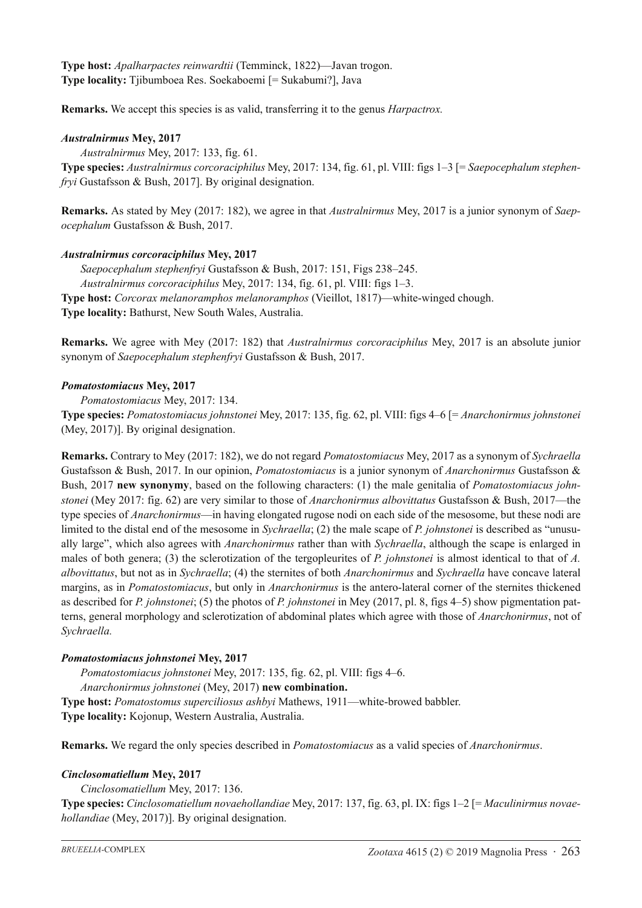**Type host:** *Apalharpactes reinwardtii* (Temminck, 1822)—Javan trogon. **Type locality:** Tjibumboea Res. Soekaboemi [= Sukabumi?], Java

**Remarks.** We accept this species is as valid, transferring it to the genus *Harpactrox.*

# *Australnirmus* **Mey, 2017**

*Australnirmus* Mey, 2017: 133, fig. 61.

**Type species:** *Australnirmus corcoraciphilus* Mey, 2017: 134, fig. 61, pl. VIII: figs 1–3 [= *Saepocephalum stephenfryi* Gustafsson & Bush, 2017]. By original designation.

**Remarks.** As stated by Mey (2017: 182), we agree in that *Australnirmus* Mey, 2017 is a junior synonym of *Saepocephalum* Gustafsson & Bush, 2017.

# *Australnirmus corcoraciphilus* **Mey, 2017**

*Saepocephalum stephenfryi* Gustafsson & Bush, 2017: 151, Figs 238–245. *Australnirmus corcoraciphilus* Mey, 2017: 134, fig. 61, pl. VIII: figs 1–3. **Type host:** *Corcorax melanoramphos melanoramphos* (Vieillot, 1817)—white-winged chough. **Type locality:** Bathurst, New South Wales, Australia.

**Remarks.** We agree with Mey (2017: 182) that *Australnirmus corcoraciphilus* Mey, 2017 is an absolute junior synonym of *Saepocephalum stephenfryi* Gustafsson & Bush, 2017.

# *Pomatostomiacus* **Mey, 2017**

*Pomatostomiacus* Mey, 2017: 134.

**Type species:** *Pomatostomiacus johnstonei* Mey, 2017: 135, fig. 62, pl. VIII: figs 4–6 [= *Anarchonirmus johnstonei* (Mey, 2017)]. By original designation.

**Remarks.** Contrary to Mey (2017: 182), we do not regard *Pomatostomiacus* Mey, 2017 as a synonym of *Sychraella* Gustafsson & Bush, 2017. In our opinion, *Pomatostomiacus* is a junior synonym of *Anarchonirmus* Gustafsson & Bush, 2017 **new synonymy**, based on the following characters: (1) the male genitalia of *Pomatostomiacus johnstonei* (Mey 2017: fig. 62) are very similar to those of *Anarchonirmus albovittatus* Gustafsson & Bush, 2017—the type species of *Anarchonirmus*—in having elongated rugose nodi on each side of the mesosome, but these nodi are limited to the distal end of the mesosome in *Sychraella*; (2) the male scape of *P. johnstonei* is described as "unusually large", which also agrees with *Anarchonirmus* rather than with *Sychraella*, although the scape is enlarged in males of both genera; (3) the sclerotization of the tergopleurites of *P. johnstonei* is almost identical to that of *A. albovittatus*, but not as in *Sychraella*; (4) the sternites of both *Anarchonirmus* and *Sychraella* have concave lateral margins, as in *Pomatostomiacus*, but only in *Anarchonirmus* is the antero-lateral corner of the sternites thickened as described for *P. johnstonei*; (5) the photos of *P. johnstonei* in Mey (2017, pl. 8, figs 4–5) show pigmentation patterns, general morphology and sclerotization of abdominal plates which agree with those of *Anarchonirmus*, not of *Sychraella.*

# *Pomatostomiacus johnstonei* **Mey, 2017**

*Pomatostomiacus johnstonei* Mey, 2017: 135, fig. 62, pl. VIII: figs 4–6. *Anarchonirmus johnstonei* (Mey, 2017) **new combination. Type host:** *Pomatostomus superciliosus ashbyi* Mathews, 1911—white-browed babbler. **Type locality:** Kojonup, Western Australia, Australia.

**Remarks.** We regard the only species described in *Pomatostomiacus* as a valid species of *Anarchonirmus*.

# *Cinclosomatiellum* **Mey, 2017**

*Cinclosomatiellum* Mey, 2017: 136.

**Type species:** *Cinclosomatiellum novaehollandiae* Mey, 2017: 137, fig. 63, pl. IX: figs 1–2 [= *Maculinirmus novaehollandiae* (Mey, 2017)]. By original designation.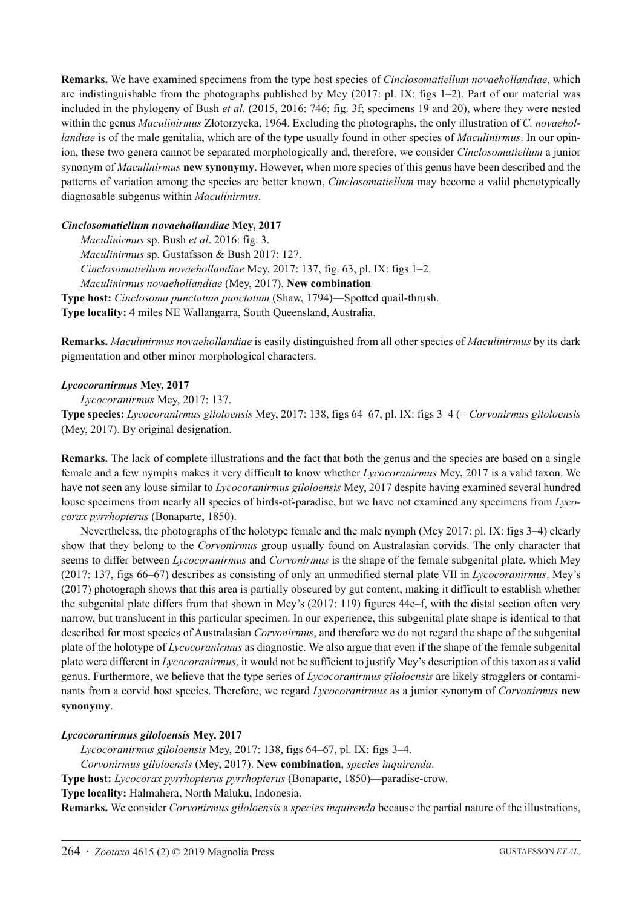**Remarks.** We have examined specimens from the type host species of *Cinclosomatiellum novaehollandiae*, which are indistinguishable from the photographs published by Mey (2017: pl. IX: figs 1–2). Part of our material was included in the phylogeny of Bush *et al.* (2015, 2016: 746; fig. 3f; specimens 19 and 20), where they were nested within the genus *Maculinirmus* Złotorzycka, 1964. Excluding the photographs, the only illustration of *C. novaehollandiae* is of the male genitalia, which are of the type usually found in other species of *Maculinirmus*. In our opinion, these two genera cannot be separated morphologically and, therefore, we consider *Cinclosomatiellum* a junior synonym of *Maculinirmus* **new synonymy**. However, when more species of this genus have been described and the patterns of variation among the species are better known, *Cinclosomatiellum* may become a valid phenotypically diagnosable subgenus within *Maculinirmus*.

### *Cinclosomatiellum novaehollandiae* **Mey, 2017**

*Maculinirmus* sp. Bush *et al*. 2016: fig. 3. *Maculinirmus* sp. Gustafsson & Bush 2017: 127. *Cinclosomatiellum novaehollandiae* Mey, 2017: 137, fig. 63, pl. IX: figs 1–2. *Maculinirmus novaehollandiae* (Mey, 2017). **New combination Type host:** *Cinclosoma punctatum punctatum* (Shaw, 1794)—Spotted quail-thrush.

**Type locality:** 4 miles NE Wallangarra, South Queensland, Australia.

**Remarks.** *Maculinirmus novaehollandiae* is easily distinguished from all other species of *Maculinirmus* by its dark pigmentation and other minor morphological characters.

### *Lycocoranirmus* **Mey, 2017**

*Lycocoranirmus* Mey, 2017: 137.

**Type species:** *Lycocoranirmus giloloensis* Mey, 2017: 138, figs 64–67, pl. IX: figs 3–4 (= *Corvonirmus giloloensis* (Mey, 2017). By original designation.

**Remarks.** The lack of complete illustrations and the fact that both the genus and the species are based on a single female and a few nymphs makes it very difficult to know whether *Lycocoranirmus* Mey, 2017 is a valid taxon. We have not seen any louse similar to *Lycocoranirmus giloloensis* Mey, 2017 despite having examined several hundred louse specimens from nearly all species of birds-of-paradise, but we have not examined any specimens from *Lycocorax pyrrhopterus* (Bonaparte, 1850).

Nevertheless, the photographs of the holotype female and the male nymph (Mey 2017: pl. IX: figs 3–4) clearly show that they belong to the *Corvonirmus* group usually found on Australasian corvids. The only character that seems to differ between *Lycocoranirmus* and *Corvonirmus* is the shape of the female subgenital plate, which Mey (2017: 137, figs 66–67) describes as consisting of only an unmodified sternal plate VII in *Lycocoranirmus*. Mey's (2017) photograph shows that this area is partially obscured by gut content, making it difficult to establish whether the subgenital plate differs from that shown in Mey's (2017: 119) figures 44e–f, with the distal section often very narrow, but translucent in this particular specimen. In our experience, this subgenital plate shape is identical to that described for most species of Australasian *Corvonirmus*, and therefore we do not regard the shape of the subgenital plate of the holotype of *Lycocoranirmus* as diagnostic. We also argue that even if the shape of the female subgenital plate were different in *Lycocoranirmus*, it would not be sufficient to justify Mey's description of this taxon as a valid genus. Furthermore, we believe that the type series of *Lycocoranirmus giloloensis* are likely stragglers or contaminants from a corvid host species. Therefore, we regard *Lycocoranirmus* as a junior synonym of *Corvonirmus* **new synonymy**.

# *Lycocoranirmus giloloensis* **Mey, 2017**

*Lycocoranirmus giloloensis* Mey, 2017: 138, figs 64–67, pl. IX: figs 3–4.

*Corvonirmus giloloensis* (Mey, 2017). **New combination**, *species inquirenda*.

**Type host:** *Lycocorax pyrrhopterus pyrrhopterus* (Bonaparte, 1850)—paradise-crow.

**Type locality:** Halmahera, North Maluku, Indonesia.

**Remarks.** We consider *Corvonirmus giloloensis* a *species inquirenda* because the partial nature of the illustrations,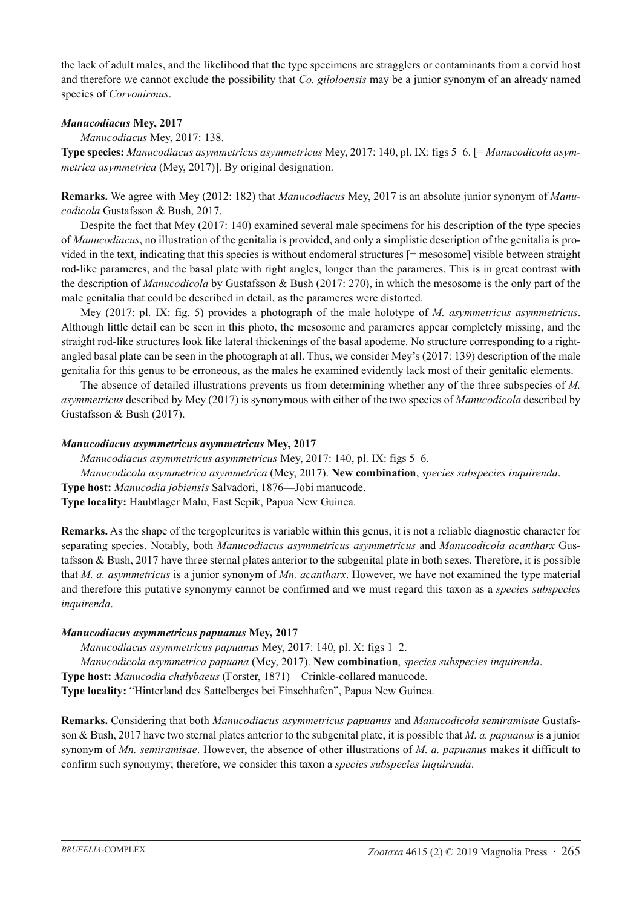the lack of adult males, and the likelihood that the type specimens are stragglers or contaminants from a corvid host and therefore we cannot exclude the possibility that *Co. giloloensis* may be a junior synonym of an already named species of *Corvonirmus*.

### *Manucodiacus* **Mey, 2017**

*Manucodiacus* Mey, 2017: 138.

**Type species:** *Manucodiacus asymmetricus asymmetricus* Mey, 2017: 140, pl. IX: figs 5–6. [= *Manucodicola asymmetrica asymmetrica* (Mey, 2017)]. By original designation.

**Remarks.** We agree with Mey (2012: 182) that *Manucodiacus* Mey, 2017 is an absolute junior synonym of *Manucodicola* Gustafsson & Bush, 2017.

Despite the fact that Mey (2017: 140) examined several male specimens for his description of the type species of *Manucodiacus*, no illustration of the genitalia is provided, and only a simplistic description of the genitalia is provided in the text, indicating that this species is without endomeral structures [= mesosome] visible between straight rod-like parameres, and the basal plate with right angles, longer than the parameres. This is in great contrast with the description of *Manucodicola* by Gustafsson & Bush (2017: 270), in which the mesosome is the only part of the male genitalia that could be described in detail, as the parameres were distorted.

Mey (2017: pl. IX: fig. 5) provides a photograph of the male holotype of *M. asymmetricus asymmetricus*. Although little detail can be seen in this photo, the mesosome and parameres appear completely missing, and the straight rod-like structures look like lateral thickenings of the basal apodeme. No structure corresponding to a rightangled basal plate can be seen in the photograph at all. Thus, we consider Mey's (2017: 139) description of the male genitalia for this genus to be erroneous, as the males he examined evidently lack most of their genitalic elements.

The absence of detailed illustrations prevents us from determining whether any of the three subspecies of *M. asymmetricus* described by Mey (2017) is synonymous with either of the two species of *Manucodicola* described by Gustafsson & Bush (2017).

### *Manucodiacus asymmetricus asymmetricus* **Mey, 2017**

*Manucodiacus asymmetricus asymmetricus* Mey, 2017: 140, pl. IX: figs 5–6.

*Manucodicola asymmetrica asymmetrica* (Mey, 2017). **New combination**, *species subspecies inquirenda*.

**Type host:** *Manucodia jobiensis* Salvadori, 1876—Jobi manucode.

**Type locality:** Haubtlager Malu, East Sepik, Papua New Guinea.

**Remarks.** As the shape of the tergopleurites is variable within this genus, it is not a reliable diagnostic character for separating species. Notably, both *Manucodiacus asymmetricus asymmetricus* and *Manucodicola acantharx* Gustafsson & Bush, 2017 have three sternal plates anterior to the subgenital plate in both sexes. Therefore, it is possible that *M. a. asymmetricus* is a junior synonym of *Mn. acantharx*. However, we have not examined the type material and therefore this putative synonymy cannot be confirmed and we must regard this taxon as a *species subspecies inquirenda*.

# *Manucodiacus asymmetricus papuanus* **Mey, 2017**

*Manucodiacus asymmetricus papuanus* Mey, 2017: 140, pl. X: figs 1–2.

*Manucodicola asymmetrica papuana* (Mey, 2017). **New combination**, *species subspecies inquirenda*.

**Type host:** *Manucodia chalybaeus* (Forster, 1871)—Crinkle-collared manucode.

**Type locality:** "Hinterland des Sattelberges bei Finschhafen", Papua New Guinea.

**Remarks.** Considering that both *Manucodiacus asymmetricus papuanus* and *Manucodicola semiramisae* Gustafsson & Bush, 2017 have two sternal plates anterior to the subgenital plate, it is possible that *M. a. papuanus* is a junior synonym of *Mn. semiramisae*. However, the absence of other illustrations of *M. a. papuanus* makes it difficult to confirm such synonymy; therefore, we consider this taxon a *species subspecies inquirenda*.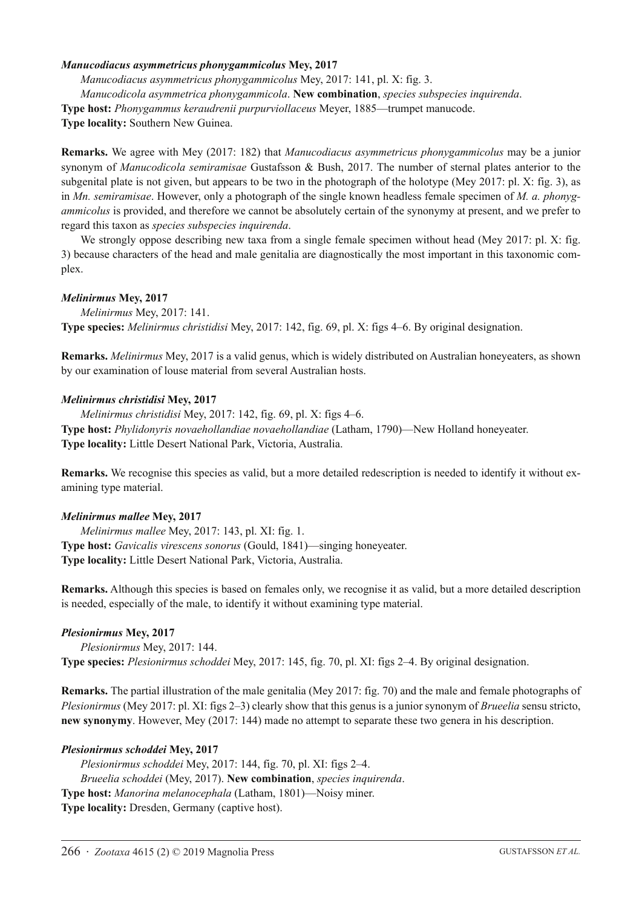#### *Manucodiacus asymmetricus phonygammicolus* **Mey, 2017**

*Manucodiacus asymmetricus phonygammicolus* Mey, 2017: 141, pl. X: fig. 3.

*Manucodicola asymmetrica phonygammicola*. **New combination**, *species subspecies inquirenda*.

**Type host:** *Phonygammus keraudrenii purpurviollaceus* Meyer, 1885—trumpet manucode.

**Type locality:** Southern New Guinea.

**Remarks.** We agree with Mey (2017: 182) that *Manucodiacus asymmetricus phonygammicolus* may be a junior synonym of *Manucodicola semiramisae* Gustafsson & Bush, 2017. The number of sternal plates anterior to the subgenital plate is not given, but appears to be two in the photograph of the holotype (Mey 2017: pl. X: fig. 3), as in *Mn. semiramisae*. However, only a photograph of the single known headless female specimen of *M. a. phonygammicolus* is provided, and therefore we cannot be absolutely certain of the synonymy at present, and we prefer to regard this taxon as *species subspecies inquirenda*.

We strongly oppose describing new taxa from a single female specimen without head (Mey 2017: pl. X: fig. 3) because characters of the head and male genitalia are diagnostically the most important in this taxonomic complex.

#### *Melinirmus* **Mey, 2017**

*Melinirmus* Mey, 2017: 141. **Type species:** *Melinirmus christidisi* Mey, 2017: 142, fig. 69, pl. X: figs 4–6. By original designation.

**Remarks.** *Melinirmus* Mey, 2017 is a valid genus, which is widely distributed on Australian honeyeaters, as shown by our examination of louse material from several Australian hosts.

#### *Melinirmus christidisi* **Mey, 2017**

*Melinirmus christidisi* Mey, 2017: 142, fig. 69, pl. X: figs 4–6. **Type host:** *Phylidonyris novaehollandiae novaehollandiae* (Latham, 1790)—New Holland honeyeater. **Type locality:** Little Desert National Park, Victoria, Australia.

**Remarks.** We recognise this species as valid, but a more detailed redescription is needed to identify it without examining type material.

#### *Melinirmus mallee* **Mey, 2017**

*Melinirmus mallee* Mey, 2017: 143, pl. XI: fig. 1. **Type host:** *Gavicalis virescens sonorus* (Gould, 1841)—singing honeyeater. **Type locality:** Little Desert National Park, Victoria, Australia.

**Remarks.** Although this species is based on females only, we recognise it as valid, but a more detailed description is needed, especially of the male, to identify it without examining type material.

#### *Plesionirmus* **Mey, 2017**

*Plesionirmus* Mey, 2017: 144. **Type species:** *Plesionirmus schoddei* Mey, 2017: 145, fig. 70, pl. XI: figs 2–4. By original designation.

**Remarks.** The partial illustration of the male genitalia (Mey 2017: fig. 70) and the male and female photographs of *Plesionirmus* (Mey 2017: pl. XI: figs 2–3) clearly show that this genus is a junior synonym of *Brueelia* sensu stricto, **new synonymy**. However, Mey (2017: 144) made no attempt to separate these two genera in his description.

#### *Plesionirmus schoddei* **Mey, 2017**

*Plesionirmus schoddei* Mey, 2017: 144, fig. 70, pl. XI: figs 2–4. *Brueelia schoddei* (Mey, 2017). **New combination**, *species inquirenda*. **Type host:** *Manorina melanocephala* (Latham, 1801)—Noisy miner. **Type locality:** Dresden, Germany (captive host).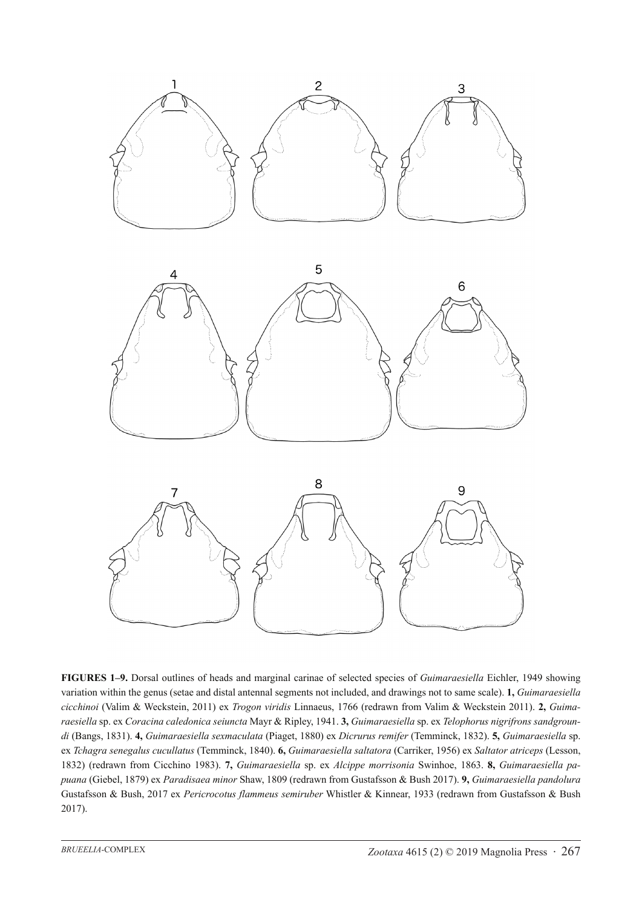





**FIGURES 1–9.** Dorsal outlines of heads and marginal carinae of selected species of *Guimaraesiella* Eichler, 1949 showing variation within the genus (setae and distal antennal segments not included, and drawings not to same scale). **1,** *Guimaraesiella cicchinoi* (Valim & Weckstein, 2011) ex *Trogon viridis* Linnaeus, 1766 (redrawn from Valim & Weckstein 2011). **2,** *Guimaraesiella* sp. ex *Coracina caledonica seiuncta* Mayr & Ripley, 1941. **3,** *Guimaraesiella* sp. ex *Telophorus nigrifrons sandgroundi* (Bangs, 1831). **4,** *Guimaraesiella sexmaculata* (Piaget, 1880) ex *Dicrurus remifer* (Temminck, 1832). **5,** *Guimaraesiella* sp. ex *Tchagra senegalus cucullatus* (Temminck, 1840). **6,** *Guimaraesiella saltatora* (Carriker, 1956) ex *Saltator atriceps* (Lesson, 1832) (redrawn from Cicchino 1983). **7,** *Guimaraesiella* sp. ex *Alcippe morrisonia* Swinhoe, 1863. **8,** *Guimaraesiella papuana* (Giebel, 1879) ex *Paradisaea minor* Shaw, 1809 (redrawn from Gustafsson & Bush 2017). **9,** *Guimaraesiella pandolura* Gustafsson & Bush, 2017 ex *Pericrocotus flammeus semiruber* Whistler & Kinnear, 1933 (redrawn from Gustafsson & Bush 2017).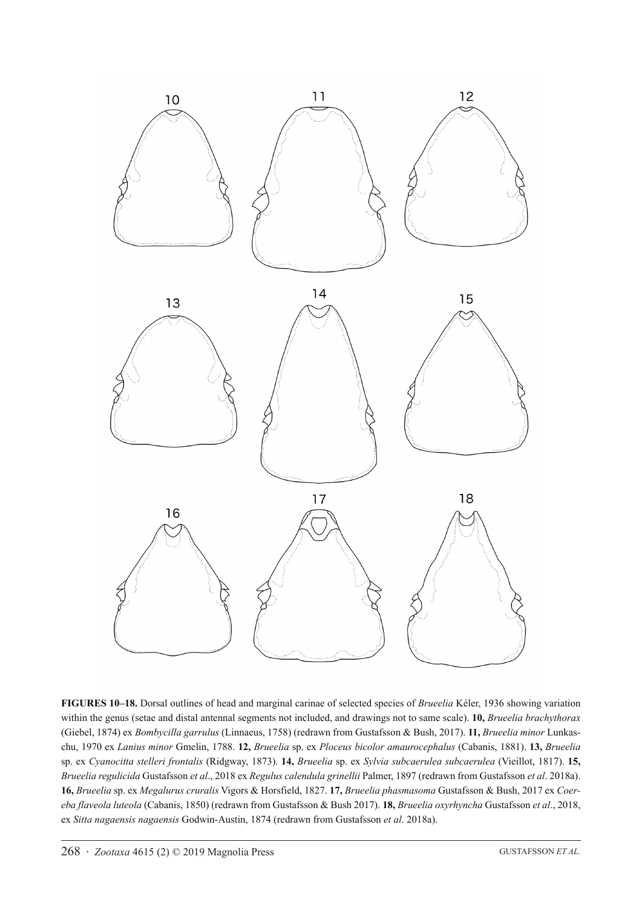

**FIGURES 10–18.** Dorsal outlines of head and marginal carinae of selected species of *Brueelia* Kéler, 1936 showing variation within the genus (setae and distal antennal segments not included, and drawings not to same scale). **10,** *Brueelia brachythorax* (Giebel, 1874) ex *Bombycilla garrulus* (Linnaeus, 1758) (redrawn from Gustafsson & Bush, 2017). **11,** *Brueelia minor* Lunkaschu, 1970 ex *Lanius minor* Gmelin, 1788. **12,** *Brueelia* sp. ex *Ploceus bicolor amaurocephalus* (Cabanis, 1881). **13,** *Brueelia* sp. ex *Cyanocitta stelleri frontalis* (Ridgway, 1873). **14,** *Brueelia* sp. ex *Sylvia subcaerulea subcaerulea* (Vieillot, 1817). **15,** *Brueelia regulicida* Gustafsson *et al*., 2018 ex *Regulus calendula grinellii* Palmer, 1897 (redrawn from Gustafsson *et al*. 2018a). **16,** *Brueelia* sp. ex *Megalurus cruralis* Vigors & Horsfield, 1827. **17,** *Brueelia phasmasoma* Gustafsson & Bush, 2017 ex *Coereba flaveola luteola* (Cabanis, 1850) (redrawn from Gustafsson & Bush 2017). **18,** *Brueelia oxyrhyncha* Gustafsson *et al*., 2018, ex *Sitta nagaensis nagaensis* Godwin-Austin, 1874 (redrawn from Gustafsson *et al*. 2018a).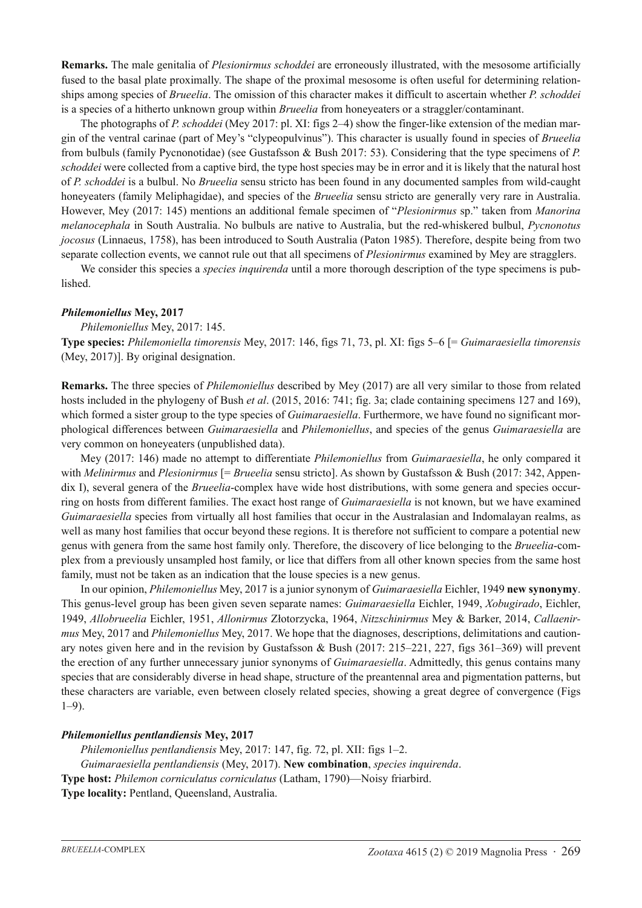**Remarks.** The male genitalia of *Plesionirmus schoddei* are erroneously illustrated, with the mesosome artificially fused to the basal plate proximally. The shape of the proximal mesosome is often useful for determining relationships among species of *Brueelia*. The omission of this character makes it difficult to ascertain whether *P. schoddei* is a species of a hitherto unknown group within *Brueelia* from honeyeaters or a straggler/contaminant.

The photographs of *P. schoddei* (Mey 2017: pl. XI: figs 2–4) show the finger-like extension of the median margin of the ventral carinae (part of Mey's "clypeopulvinus"). This character is usually found in species of *Brueelia* from bulbuls (family Pycnonotidae) (see Gustafsson & Bush 2017: 53). Considering that the type specimens of *P. schoddei* were collected from a captive bird, the type host species may be in error and it is likely that the natural host of *P. schoddei* is a bulbul. No *Brueelia* sensu stricto has been found in any documented samples from wild-caught honeyeaters (family Meliphagidae), and species of the *Brueelia* sensu stricto are generally very rare in Australia. However, Mey (2017: 145) mentions an additional female specimen of "*Plesionirmus* sp." taken from *Manorina melanocephala* in South Australia. No bulbuls are native to Australia, but the red-whiskered bulbul, *Pycnonotus jocosus* (Linnaeus, 1758), has been introduced to South Australia (Paton 1985). Therefore, despite being from two separate collection events, we cannot rule out that all specimens of *Plesionirmus* examined by Mey are stragglers.

We consider this species a *species inquirenda* until a more thorough description of the type specimens is published.

#### *Philemoniellus* **Mey, 2017**

*Philemoniellus* Mey, 2017: 145.

**Type species:** *Philemoniella timorensis* Mey, 2017: 146, figs 71, 73, pl. XI: figs 5–6 [= *Guimaraesiella timorensis* (Mey, 2017)]. By original designation.

**Remarks.** The three species of *Philemoniellus* described by Mey (2017) are all very similar to those from related hosts included in the phylogeny of Bush *et al*. (2015, 2016: 741; fig. 3a; clade containing specimens 127 and 169), which formed a sister group to the type species of *Guimaraesiella*. Furthermore, we have found no significant morphological differences between *Guimaraesiella* and *Philemoniellus*, and species of the genus *Guimaraesiella* are very common on honeyeaters (unpublished data).

Mey (2017: 146) made no attempt to differentiate *Philemoniellus* from *Guimaraesiella*, he only compared it with *Melinirmus* and *Plesionirmus* [= *Brueelia* sensu stricto]. As shown by Gustafsson & Bush (2017: 342, Appendix I), several genera of the *Brueelia*-complex have wide host distributions, with some genera and species occurring on hosts from different families. The exact host range of *Guimaraesiella* is not known, but we have examined *Guimaraesiella* species from virtually all host families that occur in the Australasian and Indomalayan realms, as well as many host families that occur beyond these regions. It is therefore not sufficient to compare a potential new genus with genera from the same host family only. Therefore, the discovery of lice belonging to the *Brueelia*-complex from a previously unsampled host family, or lice that differs from all other known species from the same host family, must not be taken as an indication that the louse species is a new genus.

In our opinion, *Philemoniellus* Mey, 2017 is a junior synonym of *Guimaraesiella* Eichler, 1949 **new synonymy**. This genus-level group has been given seven separate names: *Guimaraesiella* Eichler, 1949, *Xobugirado*, Eichler, 1949, *Allobrueelia* Eichler, 1951, *Allonirmus* Złotorzycka, 1964, *Nitzschinirmus* Mey & Barker, 2014, *Callaenirmus* Mey, 2017 and *Philemoniellus* Mey, 2017. We hope that the diagnoses, descriptions, delimitations and cautionary notes given here and in the revision by Gustafsson & Bush (2017: 215–221, 227, figs 361–369) will prevent the erection of any further unnecessary junior synonyms of *Guimaraesiella*. Admittedly, this genus contains many species that are considerably diverse in head shape, structure of the preantennal area and pigmentation patterns, but these characters are variable, even between closely related species, showing a great degree of convergence (Figs 1–9).

#### *Philemoniellus pentlandiensis* **Mey, 2017**

*Philemoniellus pentlandiensis* Mey, 2017: 147, fig. 72, pl. XII: figs 1–2. *Guimaraesiella pentlandiensis* (Mey, 2017). **New combination**, *species inquirenda*. **Type host:** *Philemon corniculatus corniculatus* (Latham, 1790)—Noisy friarbird. **Type locality:** Pentland, Queensland, Australia.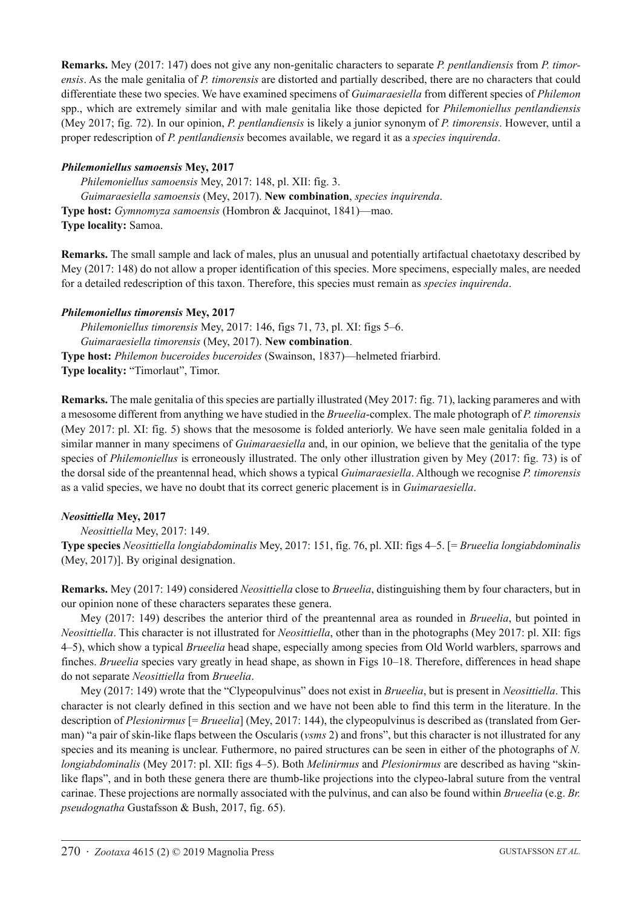**Remarks.** Mey (2017: 147) does not give any non-genitalic characters to separate *P. pentlandiensis* from *P. timorensis*. As the male genitalia of *P. timorensis* are distorted and partially described, there are no characters that could differentiate these two species. We have examined specimens of *Guimaraesiella* from different species of *Philemon* spp., which are extremely similar and with male genitalia like those depicted for *Philemoniellus pentlandiensis* (Mey 2017; fig. 72). In our opinion, *P. pentlandiensis* is likely a junior synonym of *P. timorensis*. However, until a proper redescription of *P. pentlandiensis* becomes available, we regard it as a *species inquirenda*.

### *Philemoniellus samoensis* **Mey, 2017**

*Philemoniellus samoensis* Mey, 2017: 148, pl. XII: fig. 3. *Guimaraesiella samoensis* (Mey, 2017). **New combination**, *species inquirenda*. **Type host:** *Gymnomyza samoensis* (Hombron & Jacquinot, 1841)—mao. **Type locality:** Samoa.

**Remarks.** The small sample and lack of males, plus an unusual and potentially artifactual chaetotaxy described by Mey (2017: 148) do not allow a proper identification of this species. More specimens, especially males, are needed for a detailed redescription of this taxon. Therefore, this species must remain as *species inquirenda*.

### *Philemoniellus timorensis* **Mey, 2017**

*Philemoniellus timorensis* Mey, 2017: 146, figs 71, 73, pl. XI: figs 5–6. *Guimaraesiella timorensis* (Mey, 2017). **New combination**. **Type host:** *Philemon buceroides buceroides* (Swainson, 1837)—helmeted friarbird. **Type locality:** "Timorlaut", Timor.

**Remarks.** The male genitalia of this species are partially illustrated (Mey 2017: fig. 71), lacking parameres and with a mesosome different from anything we have studied in the *Brueelia*-complex. The male photograph of *P. timorensis*  (Mey 2017: pl. XI: fig. 5) shows that the mesosome is folded anteriorly. We have seen male genitalia folded in a similar manner in many specimens of *Guimaraesiella* and, in our opinion, we believe that the genitalia of the type species of *Philemoniellus* is erroneously illustrated. The only other illustration given by Mey (2017: fig. 73) is of the dorsal side of the preantennal head, which shows a typical *Guimaraesiella*. Although we recognise *P. timorensis*  as a valid species, we have no doubt that its correct generic placement is in *Guimaraesiella*.

# *Neosittiella* **Mey, 2017**

*Neosittiella* Mey, 2017: 149.

**Type species** *Neosittiella longiabdominalis* Mey, 2017: 151, fig. 76, pl. XII: figs 4–5. [= *Brueelia longiabdominalis* (Mey, 2017)]. By original designation.

**Remarks.** Mey (2017: 149) considered *Neosittiella* close to *Brueelia*, distinguishing them by four characters, but in our opinion none of these characters separates these genera.

Mey (2017: 149) describes the anterior third of the preantennal area as rounded in *Brueelia*, but pointed in *Neosittiella*. This character is not illustrated for *Neosittiella*, other than in the photographs (Mey 2017: pl. XII: figs 4–5), which show a typical *Brueelia* head shape, especially among species from Old World warblers, sparrows and finches. *Brueelia* species vary greatly in head shape, as shown in Figs 10–18. Therefore, differences in head shape do not separate *Neosittiella* from *Brueelia*.

Mey (2017: 149) wrote that the "Clypeopulvinus" does not exist in *Brueelia*, but is present in *Neosittiella*. This character is not clearly defined in this section and we have not been able to find this term in the literature. In the description of *Plesionirmus* [= *Brueelia*] (Mey, 2017: 144), the clypeopulvinus is described as (translated from German) "a pair of skin-like flaps between the Oscularis (*vsms* 2) and frons", but this character is not illustrated for any species and its meaning is unclear. Futhermore, no paired structures can be seen in either of the photographs of *N. longiabdominalis* (Mey 2017: pl. XII: figs 4–5). Both *Melinirmus* and *Plesionirmus* are described as having "skinlike flaps", and in both these genera there are thumb-like projections into the clypeo-labral suture from the ventral carinae. These projections are normally associated with the pulvinus, and can also be found within *Brueelia* (e.g. *Br. pseudognatha* Gustafsson & Bush, 2017, fig. 65).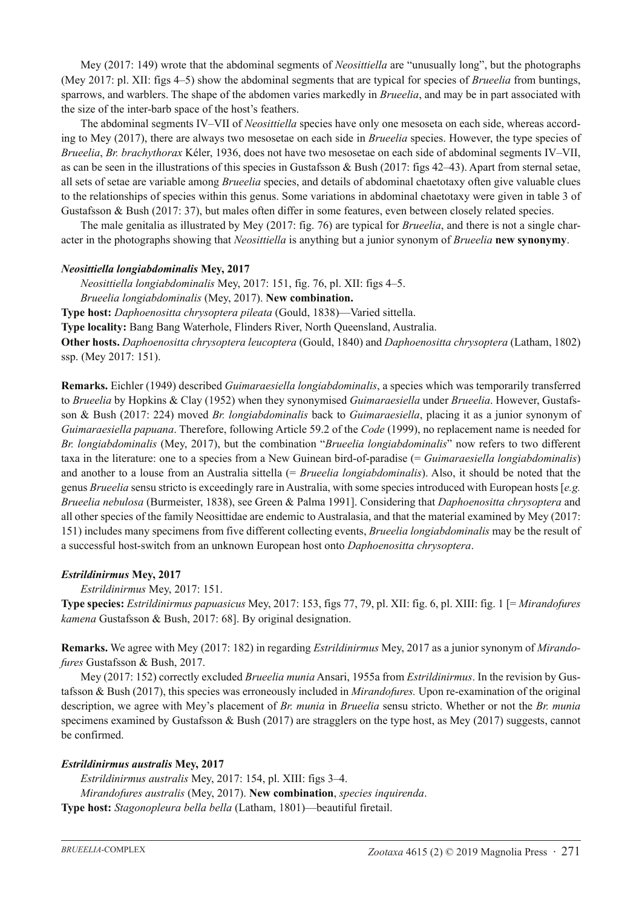Mey (2017: 149) wrote that the abdominal segments of *Neosittiella* are "unusually long", but the photographs (Mey 2017: pl. XII: figs 4–5) show the abdominal segments that are typical for species of *Brueelia* from buntings, sparrows, and warblers. The shape of the abdomen varies markedly in *Brueelia*, and may be in part associated with the size of the inter-barb space of the host's feathers.

The abdominal segments IV–VII of *Neosittiella* species have only one mesoseta on each side, whereas according to Mey (2017), there are always two mesosetae on each side in *Brueelia* species. However, the type species of *Brueelia*, *Br. brachythorax* Kéler, 1936, does not have two mesosetae on each side of abdominal segments IV–VII, as can be seen in the illustrations of this species in Gustafsson & Bush (2017: figs 42–43). Apart from sternal setae, all sets of setae are variable among *Brueelia* species, and details of abdominal chaetotaxy often give valuable clues to the relationships of species within this genus. Some variations in abdominal chaetotaxy were given in table 3 of Gustafsson & Bush (2017: 37), but males often differ in some features, even between closely related species.

The male genitalia as illustrated by Mey (2017: fig. 76) are typical for *Brueelia*, and there is not a single character in the photographs showing that *Neosittiella* is anything but a junior synonym of *Brueelia* **new synonymy**.

#### *Neosittiella longiabdominalis* **Mey, 2017**

*Neosittiella longiabdominalis* Mey, 2017: 151, fig. 76, pl. XII: figs 4–5.

*Brueelia longiabdominalis* (Mey, 2017). **New combination.**

**Type host:** *Daphoenositta chrysoptera pileata* (Gould, 1838)—Varied sittella.

**Type locality:** Bang Bang Waterhole, Flinders River, North Queensland, Australia.

**Other hosts.** *Daphoenositta chrysoptera leucoptera* (Gould, 1840) and *Daphoenositta chrysoptera* (Latham, 1802) ssp. (Mey 2017: 151).

**Remarks.** Eichler (1949) described *Guimaraesiella longiabdominalis*, a species which was temporarily transferred to *Brueelia* by Hopkins & Clay (1952) when they synonymised *Guimaraesiella* under *Brueelia*. However, Gustafsson & Bush (2017: 224) moved *Br. longiabdominalis* back to *Guimaraesiella*, placing it as a junior synonym of *Guimaraesiella papuana*. Therefore, following Article 59.2 of the *Code* (1999), no replacement name is needed for *Br. longiabdominalis* (Mey, 2017), but the combination "*Brueelia longiabdominalis*" now refers to two different taxa in the literature: one to a species from a New Guinean bird-of-paradise (= *Guimaraesiella longiabdominalis*) and another to a louse from an Australia sittella (= *Brueelia longiabdominalis*). Also, it should be noted that the genus *Brueelia* sensu stricto is exceedingly rare in Australia, with some species introduced with European hosts [*e.g. Brueelia nebulosa* (Burmeister, 1838), see Green & Palma 1991]. Considering that *Daphoenositta chrysoptera* and all other species of the family Neosittidae are endemic to Australasia, and that the material examined by Mey (2017: 151) includes many specimens from five different collecting events, *Brueelia longiabdominalis* may be the result of a successful host-switch from an unknown European host onto *Daphoenositta chrysoptera*.

#### *Estrildinirmus* **Mey, 2017**

*Estrildinirmus* Mey, 2017: 151.

**Type species:** *Estrildinirmus papuasicus* Mey, 2017: 153, figs 77, 79, pl. XII: fig. 6, pl. XIII: fig. 1 [= *Mirandofures kamena* Gustafsson & Bush, 2017: 68]. By original designation.

**Remarks.** We agree with Mey (2017: 182) in regarding *Estrildinirmus* Mey, 2017 as a junior synonym of *Mirandofures* Gustafsson & Bush, 2017.

Mey (2017: 152) correctly excluded *Brueelia munia* Ansari, 1955a from *Estrildinirmus*. In the revision by Gustafsson & Bush (2017), this species was erroneously included in *Mirandofures.* Upon re-examination of the original description, we agree with Mey's placement of *Br. munia* in *Brueelia* sensu stricto. Whether or not the *Br. munia* specimens examined by Gustafsson & Bush (2017) are stragglers on the type host, as Mey (2017) suggests, cannot be confirmed.

#### *Estrildinirmus australis* **Mey, 2017**

*Estrildinirmus australis* Mey, 2017: 154, pl. XIII: figs 3–4. *Mirandofures australis* (Mey, 2017). **New combination**, *species inquirenda*. **Type host:** *Stagonopleura bella bella* (Latham, 1801)—beautiful firetail.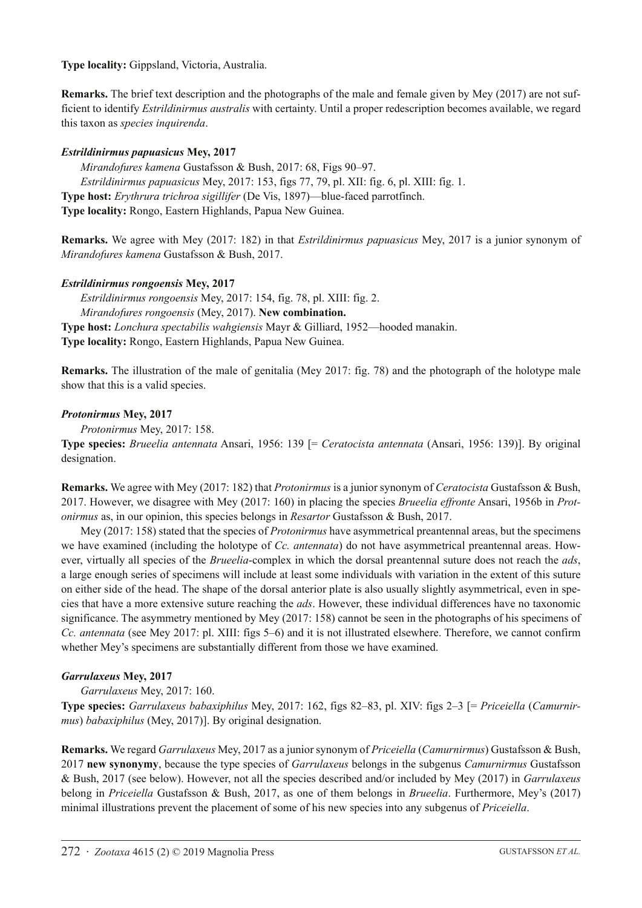**Type locality:** Gippsland, Victoria, Australia.

**Remarks.** The brief text description and the photographs of the male and female given by Mey (2017) are not sufficient to identify *Estrildinirmus australis* with certainty. Until a proper redescription becomes available, we regard this taxon as *species inquirenda*.

# *Estrildinirmus papuasicus* **Mey, 2017**

*Mirandofures kamena* Gustafsson & Bush, 2017: 68, Figs 90–97. *Estrildinirmus papuasicus* Mey, 2017: 153, figs 77, 79, pl. XII: fig. 6, pl. XIII: fig. 1. **Type host:** *Erythrura trichroa sigillifer* (De Vis, 1897)—blue-faced parrotfinch. **Type locality:** Rongo, Eastern Highlands, Papua New Guinea.

**Remarks.** We agree with Mey (2017: 182) in that *Estrildinirmus papuasicus* Mey, 2017 is a junior synonym of *Mirandofures kamena* Gustafsson & Bush, 2017.

# *Estrildinirmus rongoensis* **Mey, 2017**

*Estrildinirmus rongoensis* Mey, 2017: 154, fig. 78, pl. XIII: fig. 2. *Mirandofures rongoensis* (Mey, 2017). **New combination. Type host:** *Lonchura spectabilis wahgiensis* Mayr & Gilliard, 1952—hooded manakin. **Type locality:** Rongo, Eastern Highlands, Papua New Guinea.

**Remarks.** The illustration of the male of genitalia (Mey 2017: fig. 78) and the photograph of the holotype male show that this is a valid species.

### *Protonirmus* **Mey, 2017**

*Protonirmus* Mey, 2017: 158.

**Type species:** *Brueelia antennata* Ansari, 1956: 139 [= *Ceratocista antennata* (Ansari, 1956: 139)]. By original designation.

**Remarks.** We agree with Mey (2017: 182) that *Protonirmus* is a junior synonym of *Ceratocista* Gustafsson & Bush, 2017. However, we disagree with Mey (2017: 160) in placing the species *Brueelia effronte* Ansari, 1956b in *Protonirmus* as, in our opinion, this species belongs in *Resartor* Gustafsson & Bush, 2017.

Mey (2017: 158) stated that the species of *Protonirmus* have asymmetrical preantennal areas, but the specimens we have examined (including the holotype of *Cc. antennata*) do not have asymmetrical preantennal areas. However, virtually all species of the *Brueelia*-complex in which the dorsal preantennal suture does not reach the *ads*, a large enough series of specimens will include at least some individuals with variation in the extent of this suture on either side of the head. The shape of the dorsal anterior plate is also usually slightly asymmetrical, even in species that have a more extensive suture reaching the *ads*. However, these individual differences have no taxonomic significance. The asymmetry mentioned by Mey (2017: 158) cannot be seen in the photographs of his specimens of *Cc. antennata* (see Mey 2017: pl. XIII: figs 5–6) and it is not illustrated elsewhere. Therefore, we cannot confirm whether Mey's specimens are substantially different from those we have examined.

# *Garrulaxeus* **Mey, 2017**

*Garrulaxeus* Mey, 2017: 160.

**Type species:** *Garrulaxeus babaxiphilus* Mey, 2017: 162, figs 82–83, pl. XIV: figs 2–3 [= *Priceiella* (*Camurnirmus*) *babaxiphilus* (Mey, 2017)]. By original designation.

**Remarks.** We regard *Garrulaxeus* Mey, 2017 as a junior synonym of *Priceiella* (*Camurnirmus*) Gustafsson & Bush, 2017 **new synonymy**, because the type species of *Garrulaxeus* belongs in the subgenus *Camurnirmus* Gustafsson & Bush, 2017 (see below). However, not all the species described and/or included by Mey (2017) in *Garrulaxeus* belong in *Priceiella* Gustafsson & Bush, 2017, as one of them belongs in *Brueelia*. Furthermore, Mey's (2017) minimal illustrations prevent the placement of some of his new species into any subgenus of *Priceiella*.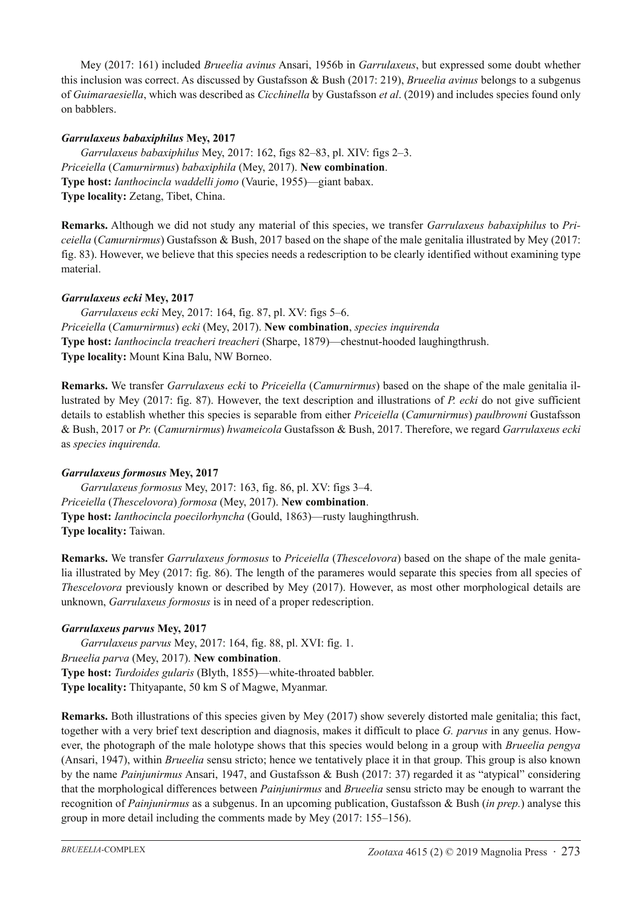Mey (2017: 161) included *Brueelia avinus* Ansari, 1956b in *Garrulaxeus*, but expressed some doubt whether this inclusion was correct. As discussed by Gustafsson & Bush (2017: 219), *Brueelia avinus* belongs to a subgenus of *Guimaraesiella*, which was described as *Cicchinella* by Gustafsson *et al*. (2019) and includes species found only on babblers.

# *Garrulaxeus babaxiphilus* **Mey, 2017**

*Garrulaxeus babaxiphilus* Mey, 2017: 162, figs 82–83, pl. XIV: figs 2–3. *Priceiella* (*Camurnirmus*) *babaxiphila* (Mey, 2017). **New combination**. **Type host:** *Ianthocincla waddelli jomo* (Vaurie, 1955)—giant babax. **Type locality:** Zetang, Tibet, China.

**Remarks.** Although we did not study any material of this species, we transfer *Garrulaxeus babaxiphilus* to *Priceiella* (*Camurnirmus*) Gustafsson & Bush, 2017 based on the shape of the male genitalia illustrated by Mey (2017: fig. 83). However, we believe that this species needs a redescription to be clearly identified without examining type material.

# *Garrulaxeus ecki* **Mey, 2017**

*Garrulaxeus ecki* Mey, 2017: 164, fig. 87, pl. XV: figs 5–6. *Priceiella* (*Camurnirmus*) *ecki* (Mey, 2017). **New combination**, *species inquirenda* **Type host:** *Ianthocincla treacheri treacheri* (Sharpe, 1879)—chestnut-hooded laughingthrush. **Type locality:** Mount Kina Balu, NW Borneo.

**Remarks.** We transfer *Garrulaxeus ecki* to *Priceiella* (*Camurnirmus*) based on the shape of the male genitalia illustrated by Mey (2017: fig. 87). However, the text description and illustrations of *P. ecki* do not give sufficient details to establish whether this species is separable from either *Priceiella* (*Camurnirmus*) *paulbrowni* Gustafsson & Bush, 2017 or *Pr.* (*Camurnirmus*) *hwameicola* Gustafsson & Bush, 2017. Therefore, we regard *Garrulaxeus ecki*  as *species inquirenda.*

# *Garrulaxeus formosus* **Mey, 2017**

*Garrulaxeus formosus* Mey, 2017: 163, fig. 86, pl. XV: figs 3–4. *Priceiella* (*Thescelovora*) *formosa* (Mey, 2017). **New combination**. **Type host:** *Ianthocincla poecilorhyncha* (Gould, 1863)—rusty laughingthrush. **Type locality:** Taiwan.

**Remarks.** We transfer *Garrulaxeus formosus* to *Priceiella* (*Thescelovora*) based on the shape of the male genitalia illustrated by Mey (2017: fig. 86). The length of the parameres would separate this species from all species of *Thescelovora* previously known or described by Mey (2017). However, as most other morphological details are unknown, *Garrulaxeus formosus* is in need of a proper redescription.

# *Garrulaxeus parvus* **Mey, 2017**

*Garrulaxeus parvus* Mey, 2017: 164, fig. 88, pl. XVI: fig. 1. *Brueelia parva* (Mey, 2017). **New combination**. **Type host:** *Turdoides gularis* (Blyth, 1855)—white-throated babbler. **Type locality:** Thityapante, 50 km S of Magwe, Myanmar.

**Remarks.** Both illustrations of this species given by Mey (2017) show severely distorted male genitalia; this fact, together with a very brief text description and diagnosis, makes it difficult to place *G. parvus* in any genus. However, the photograph of the male holotype shows that this species would belong in a group with *Brueelia pengya* (Ansari, 1947), within *Brueelia* sensu stricto; hence we tentatively place it in that group. This group is also known by the name *Painjunirmus* Ansari, 1947, and Gustafsson & Bush (2017: 37) regarded it as "atypical" considering that the morphological differences between *Painjunirmus* and *Brueelia* sensu stricto may be enough to warrant the recognition of *Painjunirmus* as a subgenus. In an upcoming publication, Gustafsson & Bush (*in prep.*) analyse this group in more detail including the comments made by Mey (2017: 155–156).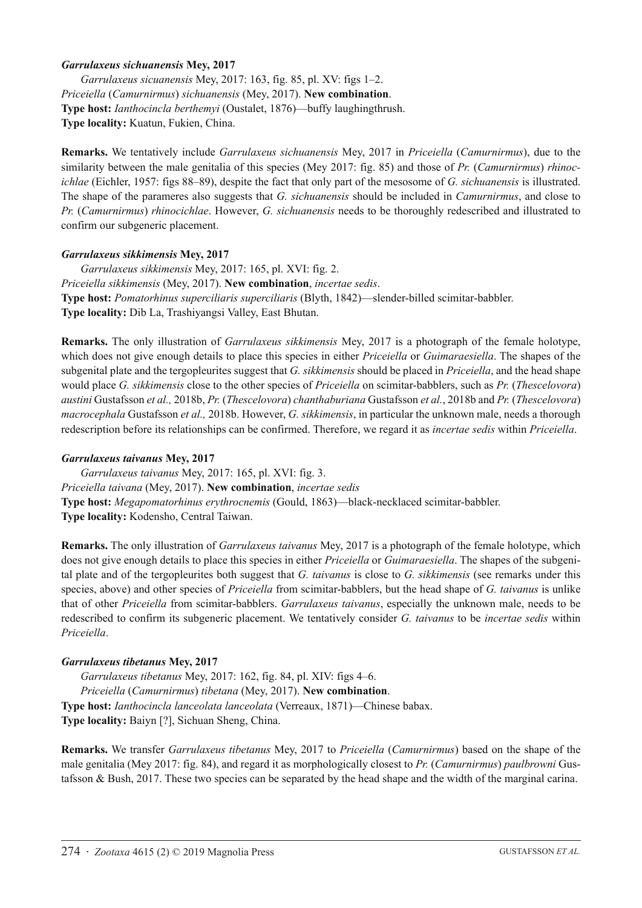#### *Garrulaxeus sichuanensis* **Mey, 2017**

*Garrulaxeus sicuanensis* Mey, 2017: 163, fig. 85, pl. XV: figs 1–2. *Priceiella* (*Camurnirmus*) *sichuanensis* (Mey, 2017). **New combination**. **Type host:** *Ianthocincla berthemyi* (Oustalet, 1876)—buffy laughingthrush. **Type locality:** Kuatun, Fukien, China.

**Remarks.** We tentatively include *Garrulaxeus sichuanensis* Mey, 2017 in *Priceiella* (*Camurnirmus*), due to the similarity between the male genitalia of this species (Mey 2017: fig. 85) and those of *Pr.* (*Camurnirmus*) *rhinocichlae* (Eichler, 1957: figs 88–89), despite the fact that only part of the mesosome of *G. sichuanensis* is illustrated. The shape of the parameres also suggests that *G. sichuanensis* should be included in *Camurnirmus*, and close to *Pr.* (*Camurnirmus*) *rhinocichlae*. However, *G. sichuanensis* needs to be thoroughly redescribed and illustrated to confirm our subgeneric placement.

#### *Garrulaxeus sikkimensis* **Mey, 2017**

*Garrulaxeus sikkimensis* Mey, 2017: 165, pl. XVI: fig. 2. *Priceiella sikkimensis* (Mey, 2017). **New combination**, *incertae sedis*. **Type host:** *Pomatorhinus superciliaris superciliaris* (Blyth, 1842)—slender-billed scimitar-babbler. **Type locality:** Dib La, Trashiyangsi Valley, East Bhutan.

**Remarks.** The only illustration of *Garrulaxeus sikkimensis* Mey, 2017 is a photograph of the female holotype, which does not give enough details to place this species in either *Priceiella* or *Guimaraesiella*. The shapes of the subgenital plate and the tergopleurites suggest that *G. sikkimensis* should be placed in *Priceiella*, and the head shape would place *G. sikkimensis* close to the other species of *Priceiella* on scimitar-babblers, such as *Pr.* (*Thescelovora*) *austini* Gustafsson *et al.,* 2018b, *Pr.* (*Thescelovora*) *chanthaburiana* Gustafsson *et al.*, 2018b and *Pr.* (*Thescelovora*) *macrocephala* Gustafsson *et al.,* 2018b. However, *G. sikkimensis*, in particular the unknown male, needs a thorough redescription before its relationships can be confirmed. Therefore, we regard it as *incertae sedis* within *Priceiella*.

#### *Garrulaxeus taivanus* **Mey, 2017**

*Garrulaxeus taivanus* Mey, 2017: 165, pl. XVI: fig. 3. *Priceiella taivana* (Mey, 2017). **New combination**, *incertae sedis* **Type host:** *Megapomatorhinus erythrocnemis* (Gould, 1863)—black-necklaced scimitar-babbler. **Type locality:** Kodensho, Central Taiwan.

**Remarks.** The only illustration of *Garrulaxeus taivanus* Mey, 2017 is a photograph of the female holotype, which does not give enough details to place this species in either *Priceiella* or *Guimaraesiella*. The shapes of the subgenital plate and of the tergopleurites both suggest that *G. taivanus* is close to *G. sikkimensis* (see remarks under this species, above) and other species of *Priceiella* from scimitar-babblers, but the head shape of *G. taivanus* is unlike that of other *Priceiella* from scimitar-babblers. *Garrulaxeus taivanus*, especially the unknown male, needs to be redescribed to confirm its subgeneric placement. We tentatively consider *G. taivanus* to be *incertae sedis* within *Priceiella*.

#### *Garrulaxeus tibetanus* **Mey, 2017**

*Garrulaxeus tibetanus* Mey, 2017: 162, fig. 84, pl. XIV: figs 4–6. *Priceiella* (*Camurnirmus*) *tibetana* (Mey, 2017). **New combination**. **Type host:** *Ianthocincla lanceolata lanceolata* (Verreaux, 1871)—Chinese babax. **Type locality:** Baiyn [?], Sichuan Sheng, China.

**Remarks.** We transfer *Garrulaxeus tibetanus* Mey, 2017 to *Priceiella* (*Camurnirmus*) based on the shape of the male genitalia (Mey 2017: fig. 84), and regard it as morphologically closest to *Pr.* (*Camurnirmus*) *paulbrowni* Gustafsson & Bush, 2017. These two species can be separated by the head shape and the width of the marginal carina.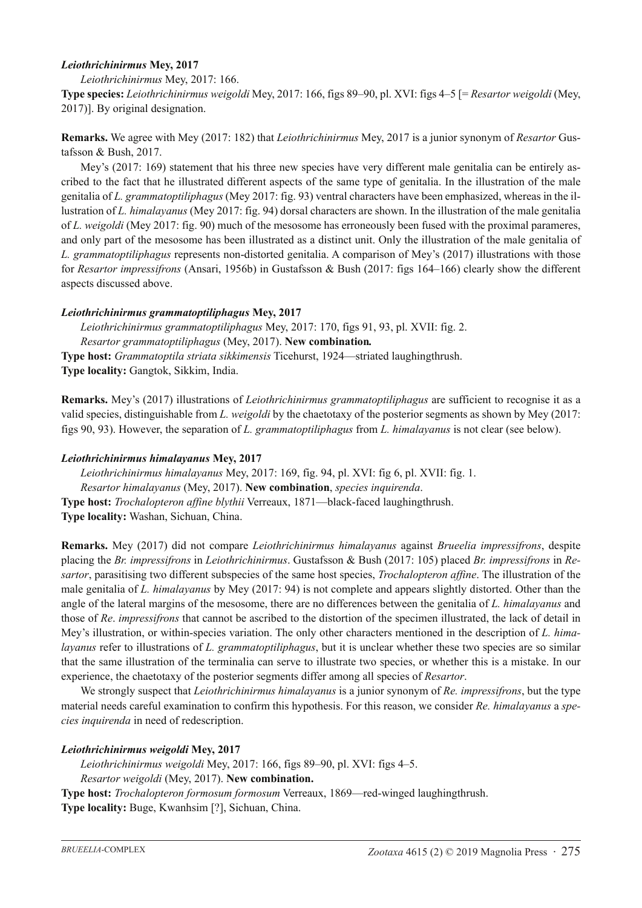### *Leiothrichinirmus* **Mey, 2017**

*Leiothrichinirmus* Mey, 2017: 166.

**Type species:** *Leiothrichinirmus weigoldi* Mey, 2017: 166, figs 89–90, pl. XVI: figs 4–5 [= *Resartor weigoldi* (Mey, 2017)]. By original designation.

**Remarks.** We agree with Mey (2017: 182) that *Leiothrichinirmus* Mey, 2017 is a junior synonym of *Resartor* Gustafsson & Bush, 2017.

Mey's (2017: 169) statement that his three new species have very different male genitalia can be entirely ascribed to the fact that he illustrated different aspects of the same type of genitalia. In the illustration of the male genitalia of *L. grammatoptiliphagus* (Mey 2017: fig. 93) ventral characters have been emphasized, whereas in the illustration of *L. himalayanus* (Mey 2017: fig. 94) dorsal characters are shown. In the illustration of the male genitalia of *L. weigoldi* (Mey 2017: fig. 90) much of the mesosome has erroneously been fused with the proximal parameres, and only part of the mesosome has been illustrated as a distinct unit. Only the illustration of the male genitalia of *L. grammatoptiliphagus* represents non-distorted genitalia. A comparison of Mey's (2017) illustrations with those for *Resartor impressifrons* (Ansari, 1956b) in Gustafsson & Bush (2017: figs 164–166) clearly show the different aspects discussed above.

### *Leiothrichinirmus grammatoptiliphagus* **Mey, 2017**

*Leiothrichinirmus grammatoptiliphagus* Mey, 2017: 170, figs 91, 93, pl. XVII: fig. 2. *Resartor grammatoptiliphagus* (Mey, 2017). **New combination***.* **Type host:** *Grammatoptila striata sikkimensis* Ticehurst, 1924—striated laughingthrush. **Type locality:** Gangtok, Sikkim, India.

**Remarks.** Mey's (2017) illustrations of *Leiothrichinirmus grammatoptiliphagus* are sufficient to recognise it as a valid species, distinguishable from *L. weigoldi* by the chaetotaxy of the posterior segments as shown by Mey (2017: figs 90, 93). However, the separation of *L. grammatoptiliphagus* from *L. himalayanus* is not clear (see below).

### *Leiothrichinirmus himalayanus* **Mey, 2017**

*Leiothrichinirmus himalayanus* Mey, 2017: 169, fig. 94, pl. XVI: fig 6, pl. XVII: fig. 1. *Resartor himalayanus* (Mey, 2017). **New combination**, *species inquirenda*. **Type host:** *Trochalopteron affine blythii* Verreaux, 1871—black-faced laughingthrush. **Type locality:** Washan, Sichuan, China.

**Remarks.** Mey (2017) did not compare *Leiothrichinirmus himalayanus* against *Brueelia impressifrons*, despite placing the *Br. impressifrons* in *Leiothrichinirmus*. Gustafsson & Bush (2017: 105) placed *Br. impressifrons* in *Resartor*, parasitising two different subspecies of the same host species, *Trochalopteron affine*. The illustration of the male genitalia of *L. himalayanus* by Mey (2017: 94) is not complete and appears slightly distorted. Other than the angle of the lateral margins of the mesosome, there are no differences between the genitalia of *L. himalayanus* and those of *Re*. *impressifrons* that cannot be ascribed to the distortion of the specimen illustrated, the lack of detail in Mey's illustration, or within-species variation. The only other characters mentioned in the description of *L. himalayanus* refer to illustrations of *L. grammatoptiliphagus*, but it is unclear whether these two species are so similar that the same illustration of the terminalia can serve to illustrate two species, or whether this is a mistake. In our experience, the chaetotaxy of the posterior segments differ among all species of *Resartor*.

We strongly suspect that *Leiothrichinirmus himalayanus* is a junior synonym of *Re. impressifrons*, but the type material needs careful examination to confirm this hypothesis. For this reason, we consider *Re. himalayanus* a *species inquirenda* in need of redescription.

# *Leiothrichinirmus weigoldi* **Mey, 2017**

*Leiothrichinirmus weigoldi* Mey, 2017: 166, figs 89–90, pl. XVI: figs 4–5.

*Resartor weigoldi* (Mey, 2017). **New combination.**

**Type host:** *Trochalopteron formosum formosum* Verreaux, 1869—red-winged laughingthrush. **Type locality:** Buge, Kwanhsim [?], Sichuan, China.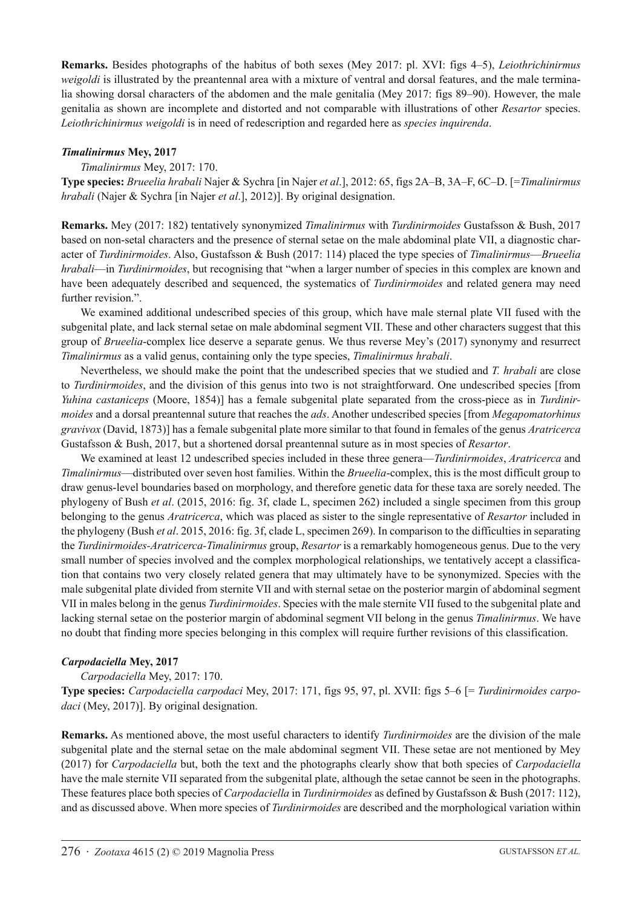**Remarks.** Besides photographs of the habitus of both sexes (Mey 2017: pl. XVI: figs 4–5), *Leiothrichinirmus weigoldi* is illustrated by the preantennal area with a mixture of ventral and dorsal features, and the male terminalia showing dorsal characters of the abdomen and the male genitalia (Mey 2017: figs 89–90). However, the male genitalia as shown are incomplete and distorted and not comparable with illustrations of other *Resartor* species. *Leiothrichinirmus weigoldi* is in need of redescription and regarded here as *species inquirenda*.

### *Timalinirmus* **Mey, 2017**

### *Timalinirmus* Mey, 2017: 170.

**Type species:** *Brueelia hrabali* Najer & Sychra [in Najer *et al*.], 2012: 65, figs 2A–B, 3A–F, 6C–D. [=*Timalinirmus hrabali* (Najer & Sychra [in Najer *et al*.], 2012)]. By original designation.

**Remarks.** Mey (2017: 182) tentatively synonymized *Timalinirmus* with *Turdinirmoides* Gustafsson & Bush, 2017 based on non-setal characters and the presence of sternal setae on the male abdominal plate VII, a diagnostic character of *Turdinirmoides*. Also, Gustafsson & Bush (2017: 114) placed the type species of *Timalinirmus*—*Brueelia hrabali*—in *Turdinirmoides*, but recognising that "when a larger number of species in this complex are known and have been adequately described and sequenced, the systematics of *Turdinirmoides* and related genera may need further revision.".

We examined additional undescribed species of this group, which have male sternal plate VII fused with the subgenital plate, and lack sternal setae on male abdominal segment VII. These and other characters suggest that this group of *Brueelia*-complex lice deserve a separate genus. We thus reverse Mey's (2017) synonymy and resurrect *Timalinirmus* as a valid genus, containing only the type species, *Timalinirmus hrabali*.

Nevertheless, we should make the point that the undescribed species that we studied and *T. hrabali* are close to *Turdinirmoides*, and the division of this genus into two is not straightforward. One undescribed species [from *Yuhina castaniceps* (Moore, 1854)] has a female subgenital plate separated from the cross-piece as in *Turdinirmoides* and a dorsal preantennal suture that reaches the *ads*. Another undescribed species [from *Megapomatorhinus gravivox* (David, 1873)] has a female subgenital plate more similar to that found in females of the genus *Aratricerca* Gustafsson & Bush, 2017, but a shortened dorsal preantennal suture as in most species of *Resartor*.

We examined at least 12 undescribed species included in these three genera—*Turdinirmoides*, *Aratricerca* and *Timalinirmus*—distributed over seven host families. Within the *Brueelia*-complex, this is the most difficult group to draw genus-level boundaries based on morphology, and therefore genetic data for these taxa are sorely needed. The phylogeny of Bush *et al*. (2015, 2016: fig. 3f, clade L, specimen 262) included a single specimen from this group belonging to the genus *Aratricerca*, which was placed as sister to the single representative of *Resartor* included in the phylogeny (Bush *et al*. 2015, 2016: fig. 3f, clade L, specimen 269). In comparison to the difficulties in separating the *Turdinirmoides-Aratricerca-Timalinirmus* group, *Resartor* is a remarkably homogeneous genus. Due to the very small number of species involved and the complex morphological relationships, we tentatively accept a classification that contains two very closely related genera that may ultimately have to be synonymized. Species with the male subgenital plate divided from sternite VII and with sternal setae on the posterior margin of abdominal segment VII in males belong in the genus *Turdinirmoides*. Species with the male sternite VII fused to the subgenital plate and lacking sternal setae on the posterior margin of abdominal segment VII belong in the genus *Timalinirmus*. We have no doubt that finding more species belonging in this complex will require further revisions of this classification.

#### *Carpodaciella* **Mey, 2017**

#### *Carpodaciella* Mey, 2017: 170.

**Type species:** *Carpodaciella carpodaci* Mey, 2017: 171, figs 95, 97, pl. XVII: figs 5–6 [= *Turdinirmoides carpo*daci (Mey, 2017)]. By original designation.

**Remarks.** As mentioned above, the most useful characters to identify *Turdinirmoides* are the division of the male subgenital plate and the sternal setae on the male abdominal segment VII. These setae are not mentioned by Mey (2017) for *Carpodaciella* but, both the text and the photographs clearly show that both species of *Carpodaciella* have the male sternite VII separated from the subgenital plate, although the setae cannot be seen in the photographs. These features place both species of *Carpodaciella* in *Turdinirmoides* as defined by Gustafsson & Bush (2017: 112), and as discussed above. When more species of *Turdinirmoides* are described and the morphological variation within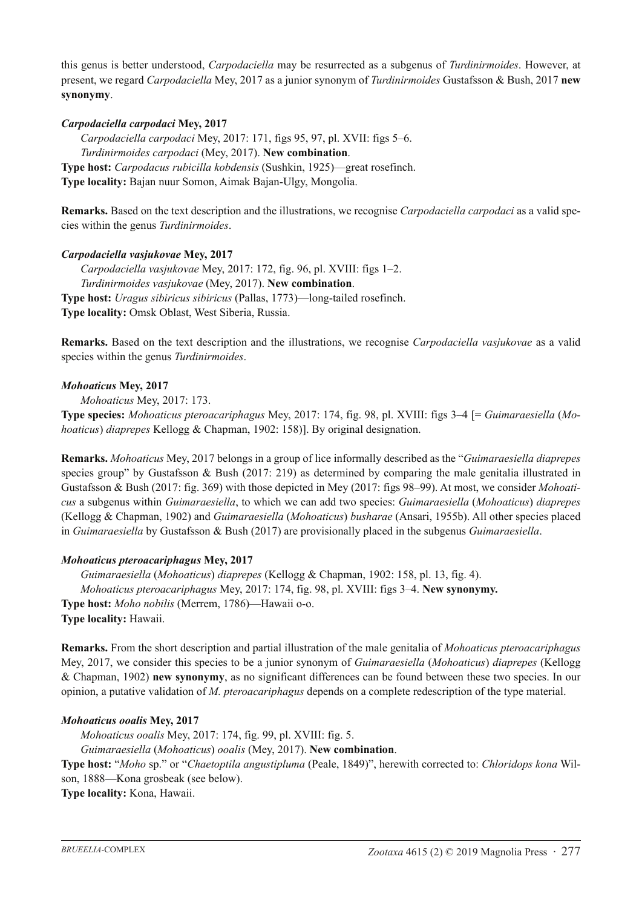this genus is better understood, *Carpodaciella* may be resurrected as a subgenus of *Turdinirmoides*. However, at present, we regard *Carpodaciella* Mey, 2017 as a junior synonym of *Turdinirmoides* Gustafsson & Bush, 2017 **new synonymy**.

### *Carpodaciella carpodaci* **Mey, 2017**

*Carpodaciella carpodaci* Mey, 2017: 171, figs 95, 97, pl. XVII: figs 5–6. *Turdinirmoides carpodaci* (Mey, 2017). **New combination**. **Type host:** *Carpodacus rubicilla kobdensis* (Sushkin, 1925)—great rosefinch. **Type locality:** Bajan nuur Somon, Aimak Bajan-Ulgy, Mongolia.

**Remarks.** Based on the text description and the illustrations, we recognise *Carpodaciella carpodaci* as a valid species within the genus *Turdinirmoides*.

#### *Carpodaciella vasjukovae* **Mey, 2017**

*Carpodaciella vasjukovae* Mey, 2017: 172, fig. 96, pl. XVIII: figs 1–2. *Turdinirmoides vasjukovae* (Mey, 2017). **New combination**. **Type host:** *Uragus sibiricus sibiricus* (Pallas, 1773)—long-tailed rosefinch. **Type locality:** Omsk Oblast, West Siberia, Russia.

**Remarks.** Based on the text description and the illustrations, we recognise *Carpodaciella vasjukovae* as a valid species within the genus *Turdinirmoides*.

#### *Mohoaticus* **Mey, 2017**

*Mohoaticus* Mey, 2017: 173.

**Type species:** *Mohoaticus pteroacariphagus* Mey, 2017: 174, fig. 98, pl. XVIII: figs 3–4 [= *Guimaraesiella* (*Mohoaticus*) *diaprepes* Kellogg & Chapman, 1902: 158)]. By original designation.

**Remarks.** *Mohoaticus* Mey, 2017 belongs in a group of lice informally described as the "*Guimaraesiella diaprepes* species group" by Gustafsson & Bush (2017: 219) as determined by comparing the male genitalia illustrated in Gustafsson & Bush (2017: fig. 369) with those depicted in Mey (2017: figs 98–99). At most, we consider *Mohoaticus* a subgenus within *Guimaraesiella*, to which we can add two species: *Guimaraesiella* (*Mohoaticus*) *diaprepes* (Kellogg & Chapman, 1902) and *Guimaraesiella* (*Mohoaticus*) *busharae* (Ansari, 1955b). All other species placed in *Guimaraesiella* by Gustafsson & Bush (2017) are provisionally placed in the subgenus *Guimaraesiella*.

#### *Mohoaticus pteroacariphagus* **Mey, 2017**

*Guimaraesiella* (*Mohoaticus*) *diaprepes* (Kellogg & Chapman, 1902: 158, pl. 13, fig. 4). *Mohoaticus pteroacariphagus* Mey, 2017: 174, fig. 98, pl. XVIII: figs 3–4. **New synonymy. Type host:** *Moho nobilis* (Merrem, 1786)—Hawaii o-o. **Type locality:** Hawaii.

**Remarks.** From the short description and partial illustration of the male genitalia of *Mohoaticus pteroacariphagus* Mey, 2017, we consider this species to be a junior synonym of *Guimaraesiella* (*Mohoaticus*) *diaprepes* (Kellogg & Chapman, 1902) **new synonymy**, as no significant differences can be found between these two species. In our opinion, a putative validation of *M. pteroacariphagus* depends on a complete redescription of the type material.

# *Mohoaticus ooalis* **Mey, 2017**

*Mohoaticus ooalis* Mey, 2017: 174, fig. 99, pl. XVIII: fig. 5. *Guimaraesiella* (*Mohoaticus*) *ooalis* (Mey, 2017). **New combination**. **Type host:** "*Moho* sp." or "*Chaetoptila angustipluma* (Peale, 1849)", herewith corrected to: *Chloridops kona* Wilson, 1888—Kona grosbeak (see below).

**Type locality:** Kona, Hawaii.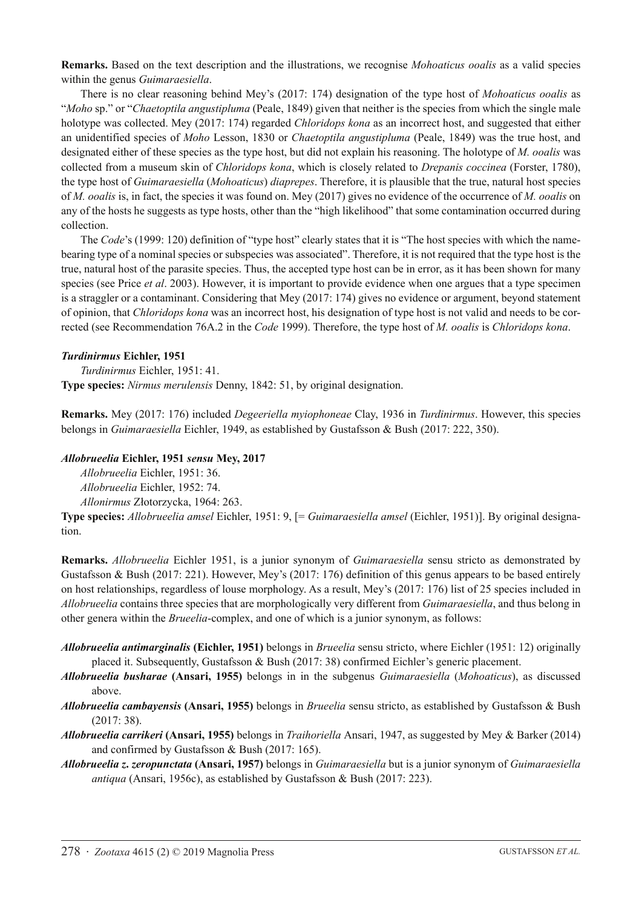**Remarks.** Based on the text description and the illustrations, we recognise *Mohoaticus ooalis* as a valid species within the genus *Guimaraesiella*.

There is no clear reasoning behind Mey's (2017: 174) designation of the type host of *Mohoaticus ooalis* as "*Moho* sp." or "*Chaetoptila angustipluma* (Peale, 1849) given that neither is the species from which the single male holotype was collected. Mey (2017: 174) regarded *Chloridops kona* as an incorrect host, and suggested that either an unidentified species of *Moho* Lesson, 1830 or *Chaetoptila angustipluma* (Peale, 1849) was the true host, and designated either of these species as the type host, but did not explain his reasoning. The holotype of *M. ooalis* was collected from a museum skin of *Chloridops kona*, which is closely related to *Drepanis coccinea* (Forster, 1780), the type host of *Guimaraesiella* (*Mohoaticus*) *diaprepes*. Therefore, it is plausible that the true, natural host species of *M. ooalis* is, in fact, the species it was found on. Mey (2017) gives no evidence of the occurrence of *M. ooalis* on any of the hosts he suggests as type hosts, other than the "high likelihood" that some contamination occurred during collection.

The *Code*'s (1999: 120) definition of "type host" clearly states that it is "The host species with which the namebearing type of a nominal species or subspecies was associated". Therefore, it is not required that the type host is the true, natural host of the parasite species. Thus, the accepted type host can be in error, as it has been shown for many species (see Price *et al*. 2003). However, it is important to provide evidence when one argues that a type specimen is a straggler or a contaminant. Considering that Mey (2017: 174) gives no evidence or argument, beyond statement of opinion, that *Chloridops kona* was an incorrect host, his designation of type host is not valid and needs to be corrected (see Recommendation 76A.2 in the *Code* 1999). Therefore, the type host of *M. ooalis* is *Chloridops kona*.

### *Turdinirmus* **Eichler, 1951**

*Turdinirmus* Eichler, 1951: 41. **Type species:** *Nirmus merulensis* Denny, 1842: 51, by original designation.

**Remarks.** Mey (2017: 176) included *Degeeriella myiophoneae* Clay, 1936 in *Turdinirmus*. However, this species belongs in *Guimaraesiella* Eichler, 1949, as established by Gustafsson & Bush (2017: 222, 350).

### *Allobrueelia* **Eichler, 1951** *sensu* **Mey, 2017**

*Allobrueelia* Eichler, 1951: 36.

*Allobrueelia* Eichler, 1952: 74.

*Allonirmus* Złotorzycka, 1964: 263. **Type species:** *Allobrueelia amsel* Eichler, 1951: 9, [= *Guimaraesiella amsel* (Eichler, 1951)]. By original designation.

**Remarks.** *Allobrueelia* Eichler 1951, is a junior synonym of *Guimaraesiella* sensu stricto as demonstrated by Gustafsson & Bush (2017: 221). However, Mey's (2017: 176) definition of this genus appears to be based entirely on host relationships, regardless of louse morphology. As a result, Mey's (2017: 176) list of 25 species included in *Allobrueelia* contains three species that are morphologically very different from *Guimaraesiella*, and thus belong in other genera within the *Brueelia*-complex, and one of which is a junior synonym, as follows:

- *Allobrueelia antimarginalis* **(Eichler, 1951)** belongs in *Brueelia* sensu stricto, where Eichler (1951: 12) originally placed it. Subsequently, Gustafsson & Bush (2017: 38) confirmed Eichler's generic placement.
- *Allobrueelia busharae* **(Ansari, 1955)** belongs in in the subgenus *Guimaraesiella* (*Mohoaticus*), as discussed above.
- *Allobrueelia cambayensis* **(Ansari, 1955)** belongs in *Brueelia* sensu stricto, as established by Gustafsson & Bush (2017: 38).
- *Allobrueelia carrikeri* **(Ansari, 1955)** belongs in *Traihoriella* Ansari, 1947, as suggested by Mey & Barker (2014) and confirmed by Gustafsson & Bush (2017: 165).
- *Allobrueelia z***.** *zeropunctata* **(Ansari, 1957)** belongs in *Guimaraesiella* but is a junior synonym of *Guimaraesiella antiqua* (Ansari, 1956c), as established by Gustafsson & Bush (2017: 223).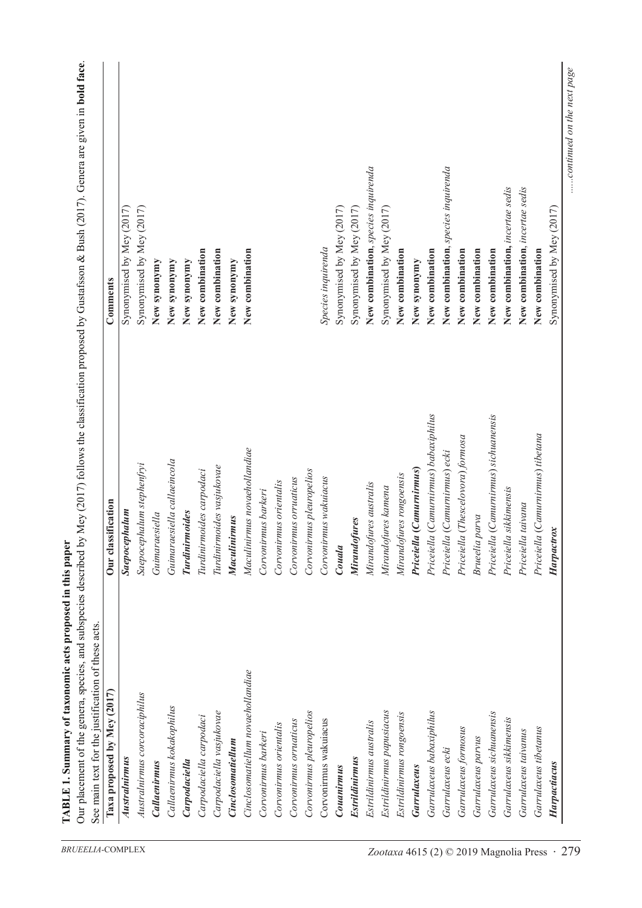| Taxa proposed by Mey (2017)       | Our classification                    | Comments                            |
|-----------------------------------|---------------------------------------|-------------------------------------|
|                                   |                                       |                                     |
| Australnirmus                     | Saepocephalum                         | Synonymised by Mey (2017)           |
| Australnirmus corcoraciphilus     | Saepocephalum stephenfryi             | Synonymised by Mey (2017)           |
| <b>Callaenirmus</b>               | Guimaraesiella                        | New synonymy                        |
| Callaenirmus kokakophilus         | Guimaraesiella callaeincola           | New synonymy                        |
| Carpodaciella                     | Turdinirmoides                        | New synonymy                        |
| Carpodaciella carpodaci           | Turdinirmoides carpodaci              | New combination                     |
| Carpodaciella vasjukovae          | Turdinirmoides vasjukovae             | New combination                     |
| <b>Cinclosomatiellum</b>          | Maculinirmus                          | New synonymy                        |
| Cinclosomatiellum novaehollandiae | Maculinirmus novaehollandiae          | New combination                     |
| Corvonirmus barkeri               | Corvonirmus barkeri                   |                                     |
| Corvonirmus orientalis            | Corvonirmus orientalis                |                                     |
| Corvonirmus orruaticus            | Corvonirmus orruaticus                |                                     |
| Corvonirmus pleuropelios          | Corvonirmus pleuropelios              |                                     |
| Corvonirmus wakuiacus             | Corvonirmus wakuiacus                 | Species inquirenda                  |
| Couanirmus                        | Couala                                | Synonymised by Mey (2017)           |
| <b>Estrildinirmus</b>             | Mirandofures                          | Synonymised by Mey (2017)           |
| Estrildinirmus australis          | Mirandofures australis                | New combination, species inquirenda |
| Estrildinirmus papusiacus         | Mirandofures kamena                   | Synonymised by Mey (2017)           |
| Estrildinirmus rongoensis         | Mirandofures rongoensis               | New combination                     |
| Garrulaxeus                       | Priceiella (Camurnirmus)              | New synonymy                        |
| Garrulaxeus babaxiphilus          | Priceiella (Camurnirmus) babaxiphilus | New combination                     |
| Garrulaxeus ecki                  | Priceiella (Camurnirmus) ecki         | New combination, species inquirenda |
| Garrulaxeus formosus              | Priceiella (Thescelovora) formosa     | New combination                     |
| Garrulaxeus parvus                | Brueelia parva                        | New combination                     |
| Garrulaxeus sichuanensis          | Priceiella (Camurnirmus) sichuanensis | New combination                     |
| Garrulaxeus sikkimensis           | Priceiella sikkimensis                | New combination, incertae sedis     |
| Garrulaxeus taivanus              | Priceiella taivana                    | New combination, incertae sedis     |
| Garrulaxeus tibetanus             | Priceiella (Camurnirmus) tibetana     | New combination                     |
| Harpactiacus                      | Harpactrox                            | Synonymised by Mey (2017)           |

**Tab l**

**e 1. Summary of taxonomic acts proposed in this paper**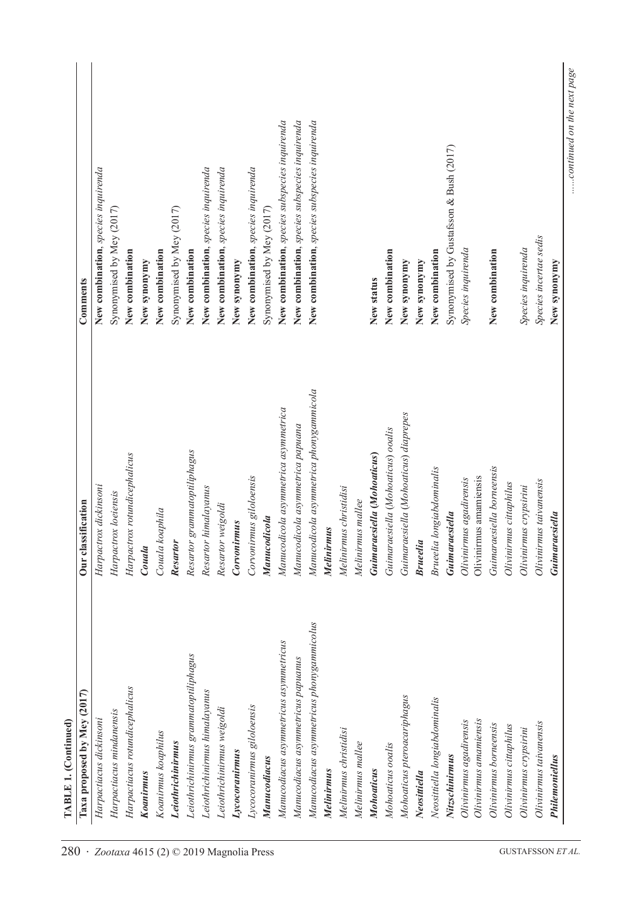| Taxa proposed by Mey (2017)               | Our classification                      | Comments                                       |
|-------------------------------------------|-----------------------------------------|------------------------------------------------|
| Harpactiacus dickinsoni                   | Harpactrox dickinsoni                   | New combination, species inquirenda            |
| Harpactiacus mindanensis                  | Harpactrox loeiensis                    | Synonymised by Mey (2017)                      |
| Harpactiacus rotundicephalicus            | Harpactrox rotundicephalicus            | New combination                                |
| Koanirmus                                 | Couala                                  | New synonymy                                   |
| Koanirmus koaphilus                       | Couala koaphila                         | New combination                                |
| Leiothrichinirmus                         | Resartor                                | Synonymised by Mey (2017)                      |
| Leiothrichinirmus grammatoptiliphagus     | Resartor grammatoptiliphagus            | New combination                                |
| Leiothrichinirmus himalayanus             | Resartor himalayanus                    | New combination, species inquirenda            |
| Leiothrichinirmus weigoldi                | Resartor weigoldi                       | New combination, species inquirenda            |
| Lycocoranirmus                            | Corvonirmus                             | New synonymy                                   |
| Lycocoranirmus giloloensis                | Corvonirmus giloloensis                 | New combination, species inquirenda            |
| Manucodiacus                              | Manucodicola                            | Synonymised by Mey (2017)                      |
| Manucodiacus asymmetricus asymmetricus    | Manucodicola asymmetrica asymmetrica    | New combination, species subspecies inquirenda |
| Manucodiacus asymmetricus papuanus        | Manucodicola asymmetrica papuana        | New combination, species subspecies inquirenda |
| Manucodiacus asymmetricus phonygammicolus | Manucodicola asymmetrica phonygammicola | New combination, species subspecies inquirenda |
| Melinirmus                                | Melinirmus                              |                                                |
| Melinirmus christidisi                    | Melinirmus christidisi                  |                                                |
| Melinirmus mallee                         | Melinirmus mallee                       |                                                |
| Mohoaticus                                | Guimaraesiella (Mohoaticus)             | New status                                     |
| Mohoaticus ooalis                         | Guimaraesiella (Mohoaticus) ooalis      | New combination                                |
| Mohoaticus pteroacariphagus               | Guimaraesiella (Mohoaticus) diaprepes   | New synonymy                                   |
| Neosittiella                              | <b>Brueelia</b>                         | New synonymy                                   |
| Neosittiella longiabdominalis             | <b>Brueelia</b> longiabdominalis        | New combination                                |
| Nitzschinirmus                            | Guimaraesiella                          | Synonymised by Gustafsson & Bush (2017)        |
| Olivinirmus agadirensis                   | Olivinirmus agadirensis                 | Species inquirenda                             |
| Olivinirmus amamiensis                    | Olivinirmus amamiensis                  |                                                |
| Olivinirmus borneensis                    | Guimaraesiella borneensis               | New combination                                |
| Olivinirmus cittaphilus                   | Olivinirmus cittaphilus                 |                                                |
| Olivinirmus crypsirini                    | Olivinirmus crypsirini                  | Species inquirenda                             |
| Olivinirmus taivanensis                   | Olivinirmus taivanensis                 | Species incertae sedis                         |
| Philemoniellus                            | Guimaraesiella                          | New synonymy                                   |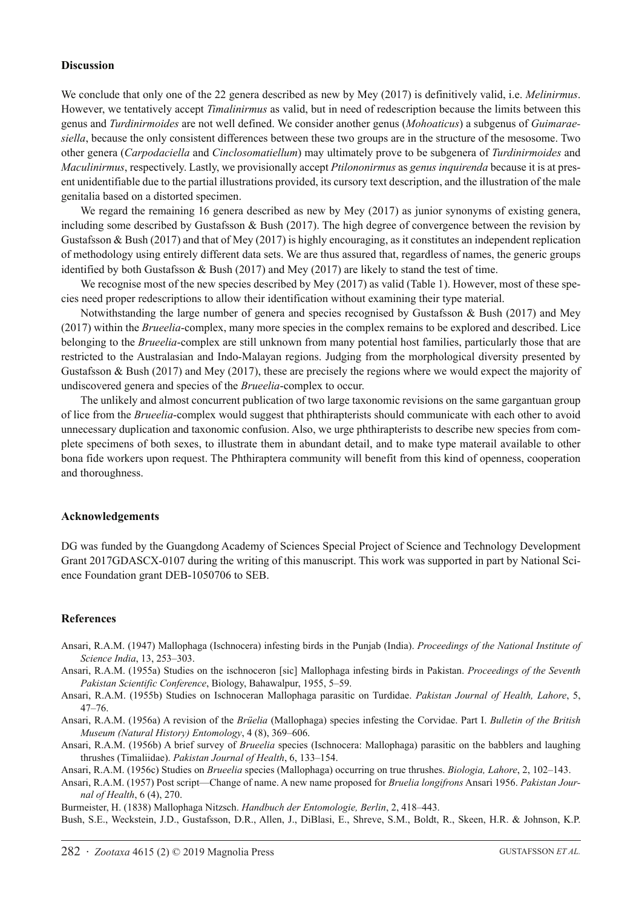#### **Discussion**

We conclude that only one of the 22 genera described as new by Mey (2017) is definitively valid, i.e. *Melinirmus*. However, we tentatively accept *Timalinirmus* as valid, but in need of redescription because the limits between this genus and *Turdinirmoides* are not well defined. We consider another genus (*Mohoaticus*) a subgenus of *Guimaraesiella*, because the only consistent differences between these two groups are in the structure of the mesosome. Two other genera (*Carpodaciella* and *Cinclosomatiellum*) may ultimately prove to be subgenera of *Turdinirmoides* and *Maculinirmus*, respectively. Lastly, we provisionally accept *Ptilononirmus* as *genus inquirenda* because it is at present unidentifiable due to the partial illustrations provided, its cursory text description, and the illustration of the male genitalia based on a distorted specimen.

We regard the remaining 16 genera described as new by Mey (2017) as junior synonyms of existing genera, including some described by Gustafsson & Bush (2017). The high degree of convergence between the revision by Gustafsson & Bush (2017) and that of Mey (2017) is highly encouraging, as it constitutes an independent replication of methodology using entirely different data sets. We are thus assured that, regardless of names, the generic groups identified by both Gustafsson  $\&$  Bush (2017) and Mey (2017) are likely to stand the test of time.

We recognise most of the new species described by Mey (2017) as valid (Table 1). However, most of these species need proper redescriptions to allow their identification without examining their type material.

Notwithstanding the large number of genera and species recognised by Gustafsson & Bush (2017) and Mey (2017) within the *Brueelia*-complex, many more species in the complex remains to be explored and described. Lice belonging to the *Brueelia*-complex are still unknown from many potential host families, particularly those that are restricted to the Australasian and Indo-Malayan regions. Judging from the morphological diversity presented by Gustafsson & Bush (2017) and Mey (2017), these are precisely the regions where we would expect the majority of undiscovered genera and species of the *Brueelia*-complex to occur.

The unlikely and almost concurrent publication of two large taxonomic revisions on the same gargantuan group of lice from the *Brueelia*-complex would suggest that phthirapterists should communicate with each other to avoid unnecessary duplication and taxonomic confusion. Also, we urge phthirapterists to describe new species from complete specimens of both sexes, to illustrate them in abundant detail, and to make type materail available to other bona fide workers upon request. The Phthiraptera community will benefit from this kind of openness, cooperation and thoroughness.

### **Acknowledgements**

DG was funded by the Guangdong Academy of Sciences Special Project of Science and Technology Development Grant 2017GDASCX-0107 during the writing of this manuscript. This work was supported in part by National Science Foundation grant DEB-1050706 to SEB.

#### **References**

- Ansari, R.A.M. (1947) Mallophaga (Ischnocera) infesting birds in the Punjab (India). *Proceedings of the National Institute of Science India*, 13, 253–303.
- Ansari, R.A.M. (1955a) Studies on the ischnoceron [sic] Mallophaga infesting birds in Pakistan. *Proceedings of the Seventh Pakistan Scientific Conference*, Biology, Bahawalpur, 1955, 5–59.
- Ansari, R.A.M. (1955b) Studies on Ischnoceran Mallophaga parasitic on Turdidae. *Pakistan Journal of Health, Lahore*, 5, 47–76.
- Ansari, R.A.M. (1956a) A revision of the *Brüelia* (Mallophaga) species infesting the Corvidae. Part I. *Bulletin of the British Museum (Natural History) Entomology*, 4 (8), 369–606.
- Ansari, R.A.M. (1956b) A brief survey of *Brueelia* species (Ischnocera: Mallophaga) parasitic on the babblers and laughing thrushes (Timaliidae). *Pakistan Journal of Health*, 6, 133–154.

Ansari, R.A.M. (1956c) Studies on *Brueelia* species (Mallophaga) occurring on true thrushes. *Biologia, Lahore*, 2, 102–143.

Ansari, R.A.M. (1957) Post script—Change of name. A new name proposed for *Bruelia longifrons* Ansari 1956. *Pakistan Journal of Health*, 6 (4), 270.

Burmeister, H. (1838) Mallophaga Nitzsch. *Handbuch der Entomologie, Berlin*, 2, 418–443.

Bush, S.E., Weckstein, J.D., Gustafsson, D.R., Allen, J., DiBlasi, E., Shreve, S.M., Boldt, R., Skeen, H.R. & Johnson, K.P.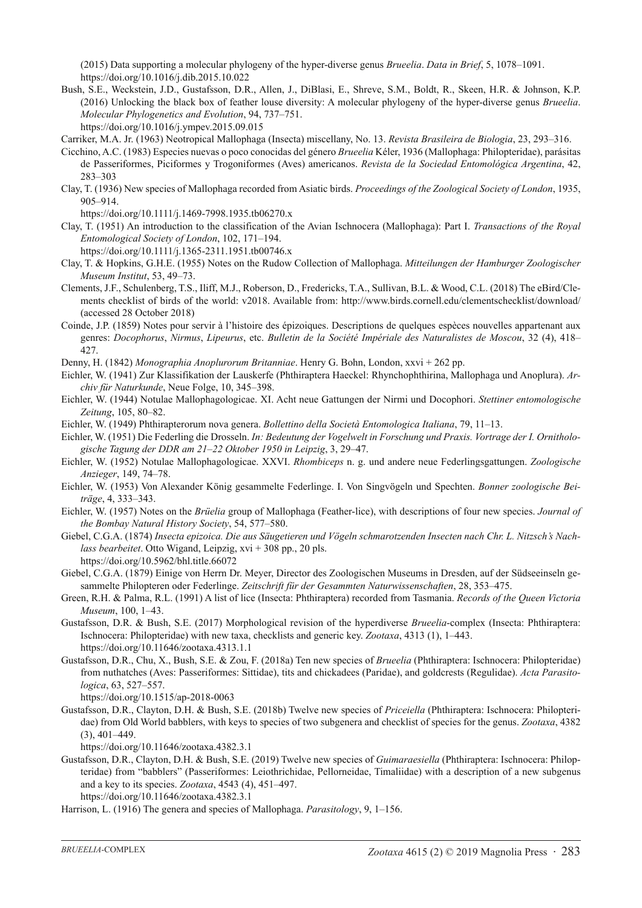(2015) Data supporting a molecular phylogeny of the hyper-diverse genus *Brueelia*. *Data in Brief*, 5, 1078–1091. https://doi.org/10.1016/j.dib.2015.10.022

Bush, S.E., Weckstein, J.D., Gustafsson, D.R., Allen, J., DiBlasi, E., Shreve, S.M., Boldt, R., Skeen, H.R. & Johnson, K.P. (2016) Unlocking the black box of feather louse diversity: A molecular phylogeny of the hyper-diverse genus *Brueelia*. *Molecular Phylogenetics and Evolution*, 94, 737–751.

https://doi.org/10.1016/j.ympev.2015.09.015

- Carriker, M.A. Jr. (1963) Neotropical Mallophaga (Insecta) miscellany, No. 13. *Revista Brasileira de Biologia*, 23, 293–316.
- Cicchino, A.C. (1983) Especies nuevas o poco conocidas del género *Brueelia* Kéler, 1936 (Mallophaga: Philopteridae), parásitas de Passeriformes, Piciformes y Trogoniformes (Aves) americanos. *Revista de la Sociedad Entomológica Argentina*, 42, 283–303
- Clay, T. (1936) New species of Mallophaga recorded from Asiatic birds. *Proceedings of the Zoological Society of London*, 1935, 905–914.

https://doi.org/10.1111/j.1469-7998.1935.tb06270.x

Clay, T. (1951) An introduction to the classification of the Avian Ischnocera (Mallophaga): Part I. *Transactions of the Royal Entomological Society of London*, 102, 171–194.

https://doi.org/10.1111/j.1365-2311.1951.tb00746.x

- Clay, T. & Hopkins, G.H.E. (1955) Notes on the Rudow Collection of Mallophaga. *Mitteilungen der Hamburger Zoologischer Museum Institut*, 53, 49–73.
- Clements, J.F., Schulenberg, T.S., Iliff, M.J., Roberson, D., Fredericks, T.A., Sullivan, B.L. & Wood, C.L. (2018) The eBird/Clements checklist of birds of the world: v2018. Available from: http://www.birds.cornell.edu/clementschecklist/download/ (accessed 28 October 2018)
- Coinde, J.P. (1859) Notes pour servir à l'histoire des épizoiques. Descriptions de quelques espèces nouvelles appartenant aux genres: *Docophorus*, *Nirmus*, *Lipeurus*, etc. *Bulletin de la Société Impériale des Naturalistes de Moscou*, 32 (4), 418– 427.

Denny, H. (1842) *Monographia Anoplurorum Britanniae*. Henry G. Bohn, London, xxvi + 262 pp.

- Eichler, W. (1941) Zur Klassifikation der Lauskerfe (Phthiraptera Haeckel: Rhynchophthirina, Mallophaga und Anoplura). *Archiv für Naturkunde*, Neue Folge, 10, 345–398.
- Eichler, W. (1944) Notulae Mallophagologicae. XI. Acht neue Gattungen der Nirmi und Docophori. *Stettiner entomologische Zeitung*, 105, 80–82.
- Eichler, W. (1949) Phthirapterorum nova genera. *Bollettino della Società Entomologica Italiana*, 79, 11–13.
- Eichler, W. (1951) Die Federling die Drosseln. *In: Bedeutung der Vogelwelt in Forschung und Praxis. Vortrage der I. Ornithologische Tagung der DDR am 21–22 Oktober 1950 in Leipzig*, 3, 29–47.
- Eichler, W. (1952) Notulae Mallophagologicae. XXVI. *Rhombiceps* n. g. und andere neue Federlingsgattungen. *Zoologische Anzieger*, 149, 74–78.
- Eichler, W. (1953) Von Alexander König gesammelte Federlinge. I. Von Singvögeln und Spechten. *Bonner zoologische Beiträge*, 4, 333–343.
- Eichler, W. (1957) Notes on the *Brüelia* group of Mallophaga (Feather-lice), with descriptions of four new species. *Journal of the Bombay Natural History Society*, 54, 577–580.
- Giebel, C.G.A. (1874) *Insecta epizoica. Die aus Säugetieren und Vögeln schmarotzenden Insecten nach Chr. L. Nitzsch's Nachlass bearbeitet*. Otto Wigand, Leipzig, xvi + 308 pp., 20 pls. https://doi.org/10.5962/bhl.title.66072
- Giebel, C.G.A. (1879) Einige von Herrn Dr. Meyer, Director des Zoologischen Museums in Dresden, auf der Südseeinseln gesammelte Philopteren oder Federlinge. *Zeitschrift für der Gesammten Naturwissenschaften*, 28, 353–475.
- Green, R.H. & Palma, R.L. (1991) A list of lice (Insecta: Phthiraptera) recorded from Tasmania. *Records of the Queen Victoria Museum*, 100, 1–43.
- Gustafsson, D.R. & Bush, S.E. (2017) Morphological revision of the hyperdiverse *Brueelia*-complex (Insecta: Phthiraptera: Ischnocera: Philopteridae) with new taxa, checklists and generic key. *Zootaxa*, 4313 (1), 1–443. https://doi.org/10.11646/zootaxa.4313.1.1
- Gustafsson, D.R., Chu, X., Bush, S.E. & Zou, F. (2018a) Ten new species of *Brueelia* (Phthiraptera: Ischnocera: Philopteridae) from nuthatches (Aves: Passeriformes: Sittidae), tits and chickadees (Paridae), and goldcrests (Regulidae). *Acta Parasitologica*, 63, 527–557.

https://doi.org/10.1515/ap-2018-0063

Gustafsson, D.R., Clayton, D.H. & Bush, S.E. (2018b) Twelve new species of *Priceiella* (Phthiraptera: Ischnocera: Philopteridae) from Old World babblers, with keys to species of two subgenera and checklist of species for the genus. *Zootaxa*, 4382 (3), 401–449.

https://doi.org/10.11646/zootaxa.4382.3.1

Gustafsson, D.R., Clayton, D.H. & Bush, S.E. (2019) Twelve new species of *Guimaraesiella* (Phthiraptera: Ischnocera: Philopteridae) from "babblers" (Passeriformes: Leiothrichidae, Pellorneidae, Timaliidae) with a description of a new subgenus and a key to its species. *Zootaxa*, 4543 (4), 451–497.

https://doi.org/10.11646/zootaxa.4382.3.1

Harrison, L. (1916) The genera and species of Mallophaga. *Parasitology*, 9, 1–156.